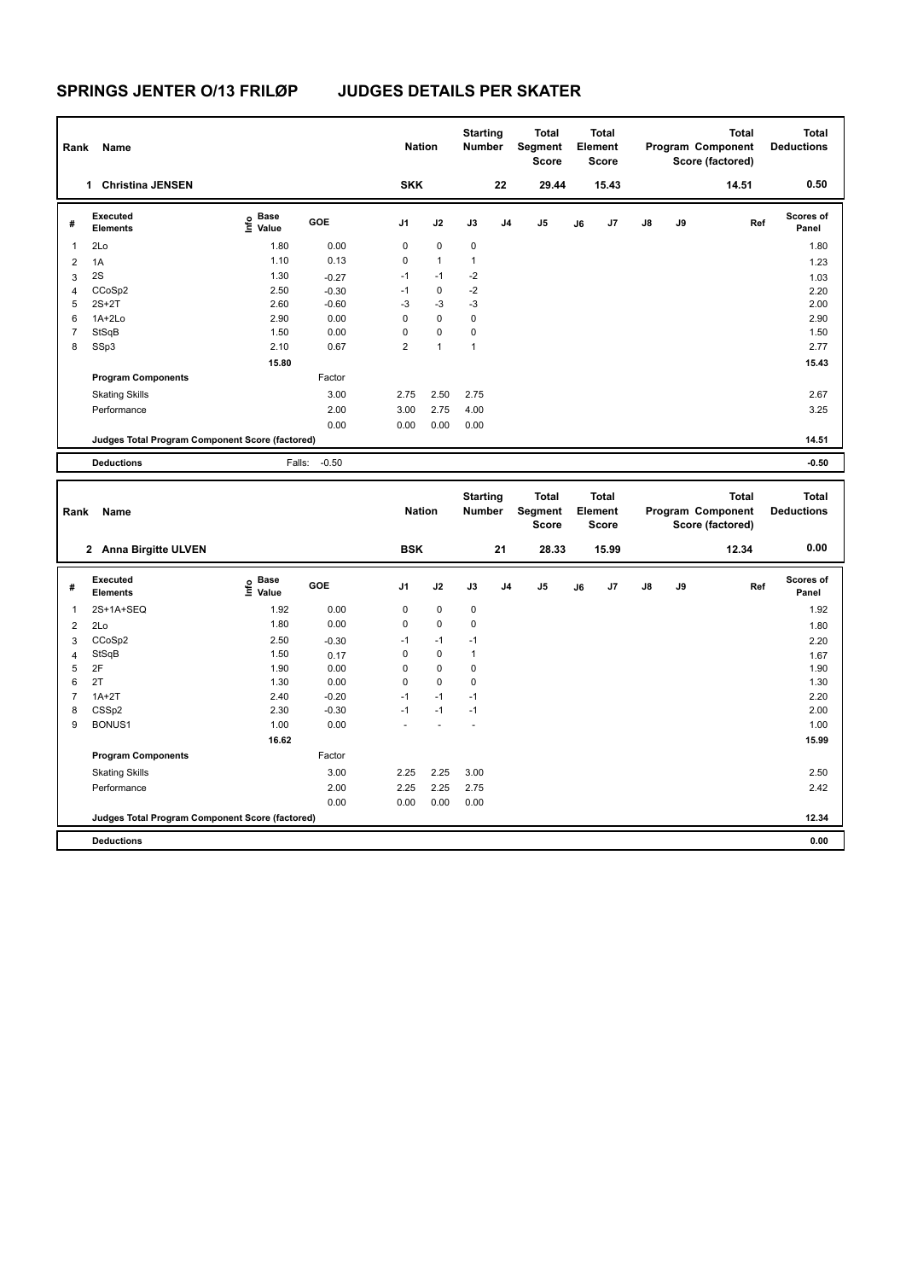**Program Components** 

# **SPRINGS JENTER O/13 FRILØP JUDGES DETAILS PER SKATER**

| Rank           | Name                                            |                            |         | <b>Nation</b>  |              | <b>Starting</b><br><b>Number</b> |                | <b>Total</b><br><b>Segment</b><br><b>Score</b> |    | <b>Total</b><br>Element<br><b>Score</b> |               |    | <b>Total</b><br>Program Component<br>Score (factored) | <b>Total</b><br><b>Deductions</b> |
|----------------|-------------------------------------------------|----------------------------|---------|----------------|--------------|----------------------------------|----------------|------------------------------------------------|----|-----------------------------------------|---------------|----|-------------------------------------------------------|-----------------------------------|
|                | 1 Christina JENSEN                              |                            |         | <b>SKK</b>     |              |                                  | 22             | 29.44                                          |    | 15.43                                   |               |    | 14.51                                                 | 0.50                              |
| #              | <b>Executed</b><br><b>Elements</b>              | e Base<br>E Value          | GOE     | J <sub>1</sub> | J2           | J3                               | J <sub>4</sub> | J <sub>5</sub>                                 | J6 | J7                                      | J8            | J9 | Ref                                                   | <b>Scores of</b><br>Panel         |
| 1              | 2Lo                                             | 1.80                       | 0.00    | 0              | 0            | 0                                |                |                                                |    |                                         |               |    |                                                       | 1.80                              |
| $\overline{2}$ | 1A                                              | 1.10                       | 0.13    | 0              | $\mathbf{1}$ | $\mathbf{1}$                     |                |                                                |    |                                         |               |    |                                                       | 1.23                              |
| 3              | 2S                                              | 1.30                       | $-0.27$ | $-1$           | $-1$         | $-2$                             |                |                                                |    |                                         |               |    |                                                       | 1.03                              |
| 4              | CCoSp2                                          | 2.50                       | $-0.30$ | $-1$           | 0            | $-2$                             |                |                                                |    |                                         |               |    |                                                       | 2.20                              |
| 5              | $2S+2T$                                         | 2.60                       | $-0.60$ | $-3$           | $-3$         | $-3$                             |                |                                                |    |                                         |               |    |                                                       | 2.00                              |
| 6              | $1A+2Lo$                                        | 2.90                       | 0.00    | 0              | 0            | 0                                |                |                                                |    |                                         |               |    |                                                       | 2.90                              |
| $\overline{7}$ | StSqB                                           | 1.50                       | 0.00    | 0              | 0            | $\mathbf 0$                      |                |                                                |    |                                         |               |    |                                                       | 1.50                              |
| 8              | SSp3                                            | 2.10                       | 0.67    | $\overline{2}$ | $\mathbf{1}$ | $\mathbf{1}$                     |                |                                                |    |                                         |               |    |                                                       | 2.77                              |
|                |                                                 | 15.80                      |         |                |              |                                  |                |                                                |    |                                         |               |    |                                                       | 15.43                             |
|                | <b>Program Components</b>                       |                            | Factor  |                |              |                                  |                |                                                |    |                                         |               |    |                                                       |                                   |
|                | <b>Skating Skills</b>                           |                            | 3.00    | 2.75           | 2.50         | 2.75                             |                |                                                |    |                                         |               |    |                                                       | 2.67                              |
|                | Performance                                     |                            | 2.00    | 3.00           | 2.75         | 4.00                             |                |                                                |    |                                         |               |    |                                                       | 3.25                              |
|                |                                                 |                            | 0.00    | 0.00           | 0.00         | 0.00                             |                |                                                |    |                                         |               |    |                                                       |                                   |
|                | Judges Total Program Component Score (factored) |                            |         |                |              |                                  |                |                                                |    |                                         |               |    |                                                       | 14.51                             |
|                |                                                 |                            | $-0.50$ |                |              |                                  |                |                                                |    |                                         |               |    |                                                       |                                   |
|                | <b>Deductions</b>                               | Falls:                     |         |                |              |                                  |                |                                                |    |                                         |               |    |                                                       | $-0.50$                           |
| Rank           | Name                                            |                            |         | <b>Nation</b>  |              | <b>Starting</b><br><b>Number</b> |                | <b>Total</b><br><b>Segment</b><br><b>Score</b> |    | <b>Total</b><br>Element<br><b>Score</b> |               |    | <b>Total</b><br>Program Component<br>Score (factored) | <b>Total</b><br><b>Deductions</b> |
|                | 2 Anna Birgitte ULVEN                           |                            |         | <b>BSK</b>     |              |                                  | 21             | 28.33                                          |    | 15.99                                   |               |    | 12.34                                                 | 0.00                              |
| #              | <b>Executed</b><br><b>Elements</b>              | e Base<br>E Value<br>Value | GOE     | J <sub>1</sub> | J2           | J3                               | J <sub>4</sub> | J <sub>5</sub>                                 | J6 | J7                                      | $\mathsf{J}8$ | J9 | Ref                                                   | <b>Scores of</b><br>Panel         |
| 1              | 2S+1A+SEQ                                       | 1.92                       | 0.00    | 0              | 0            | 0                                |                |                                                |    |                                         |               |    |                                                       | 1.92                              |
| 2              | 2Lo                                             | 1.80                       | 0.00    | 0              | 0            | 0                                |                |                                                |    |                                         |               |    |                                                       | 1.80                              |
| 3              | CCoSp2                                          | 2.50                       | $-0.30$ | $-1$           | $-1$         | $-1$                             |                |                                                |    |                                         |               |    |                                                       | 2.20                              |

4 StSqB 1.50 0.17 0 0 1 1.67 1.67 1.67 2F 1.90 0.00 0 0 0 1.90 2T  $1.30$   $1.30$   $0.00$   $0$   $0$   $0$  1A+2T 2.40 -0.20 -1 -1 -1 2.20 CSSp2 2.30 -0.30 -1 -1 -1 2.00 BONUS1 1.00 0.00 - - - 1.00

Skating Skills 2.25 2.25 3.00 3.00 2.50

Performance 2.00 2.25 2.25 2.75 2.42

**Deductions 0.00 Judges Total Program Component Score (factored) 12.34**

0.00 0.00 0.00 0.00

Factor

 **16.62 15.99**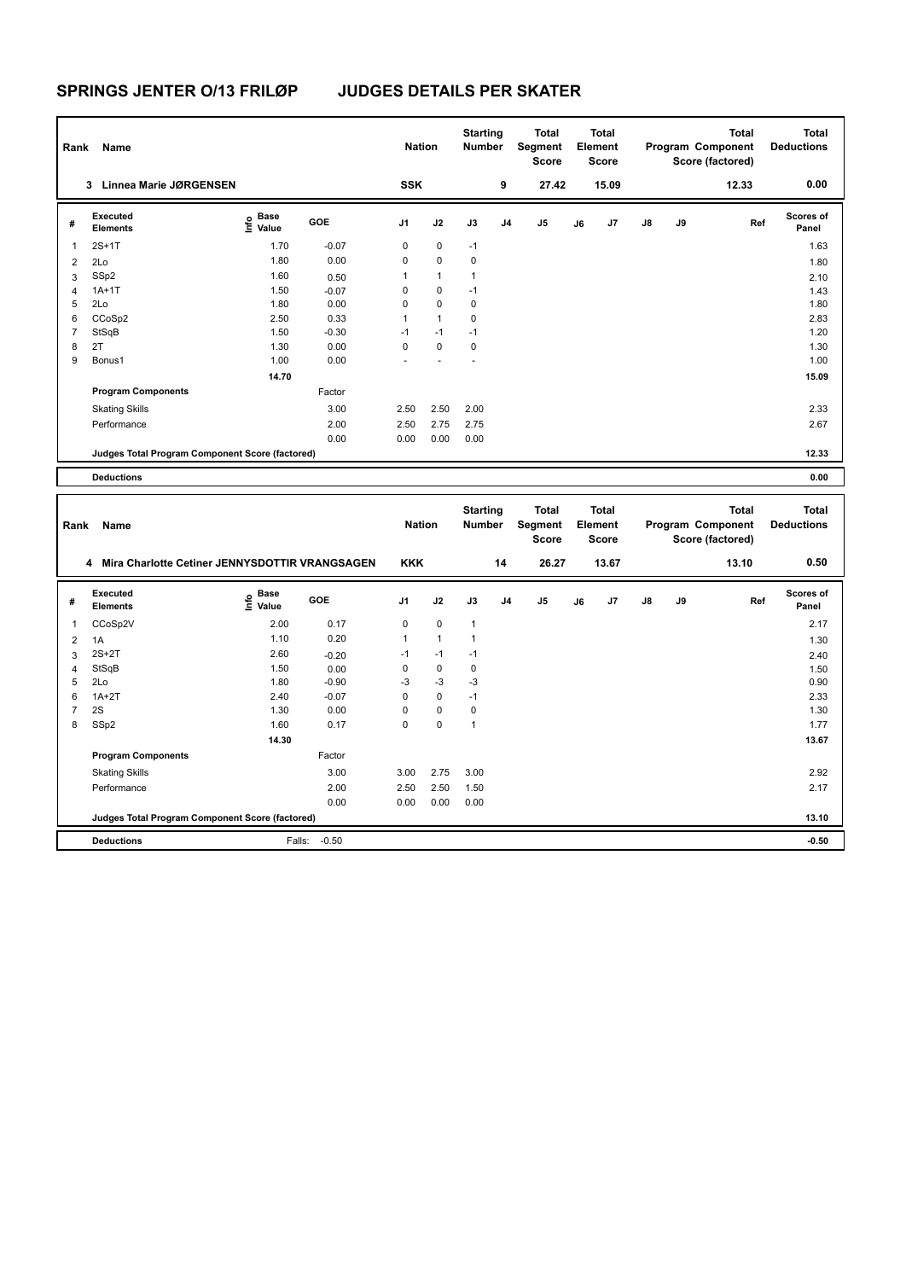| Rank           | Name                                             |                                  |         | <b>Nation</b> |              | <b>Starting</b><br><b>Number</b> |                | <b>Total</b><br><b>Segment</b><br><b>Score</b> |    | <b>Total</b><br>Element<br><b>Score</b> |               |    | <b>Total</b><br>Program Component<br>Score (factored) | <b>Total</b><br><b>Deductions</b> |
|----------------|--------------------------------------------------|----------------------------------|---------|---------------|--------------|----------------------------------|----------------|------------------------------------------------|----|-----------------------------------------|---------------|----|-------------------------------------------------------|-----------------------------------|
|                | Linnea Marie JØRGENSEN<br>3                      |                                  |         | <b>SSK</b>    |              |                                  | 9              | 27.42                                          |    | 15.09                                   |               |    | 12.33                                                 | 0.00                              |
| #              | Executed<br><b>Elements</b>                      | <b>Base</b><br>e Base<br>⊆ Value | GOE     | J1            | J2           | J3                               | J <sub>4</sub> | J <sub>5</sub>                                 | J6 | J7                                      | $\mathsf{J}8$ | J9 | Ref                                                   | Scores of<br>Panel                |
| 1              | $2S+1T$                                          | 1.70                             | $-0.07$ | 0             | 0            | $-1$                             |                |                                                |    |                                         |               |    |                                                       | 1.63                              |
| 2              | 2Lo                                              | 1.80                             | 0.00    | 0             | $\mathbf 0$  | $\mathbf 0$                      |                |                                                |    |                                         |               |    |                                                       | 1.80                              |
| 3              | SSp2                                             | 1.60                             | 0.50    | 1             | $\mathbf{1}$ | 1                                |                |                                                |    |                                         |               |    |                                                       | 2.10                              |
| 4              | $1A+1T$                                          | 1.50                             | $-0.07$ | 0             | 0            | $-1$                             |                |                                                |    |                                         |               |    |                                                       | 1.43                              |
| 5              | 2Lo                                              | 1.80                             | 0.00    | $\Omega$      | $\Omega$     | 0                                |                |                                                |    |                                         |               |    |                                                       | 1.80                              |
| 6              | CCoSp2                                           | 2.50                             | 0.33    | 1             | $\mathbf{1}$ | 0                                |                |                                                |    |                                         |               |    |                                                       | 2.83                              |
| $\overline{7}$ | StSqB                                            | 1.50                             | $-0.30$ | $-1$          | $-1$         | $-1$                             |                |                                                |    |                                         |               |    |                                                       | 1.20                              |
| 8              | 2T                                               | 1.30                             | 0.00    | 0             | $\mathbf 0$  | 0                                |                |                                                |    |                                         |               |    |                                                       | 1.30                              |
| 9              | Bonus1                                           | 1.00                             | 0.00    |               |              |                                  |                |                                                |    |                                         |               |    |                                                       | 1.00                              |
|                |                                                  | 14.70                            |         |               |              |                                  |                |                                                |    |                                         |               |    |                                                       | 15.09                             |
|                | <b>Program Components</b>                        |                                  | Factor  |               |              |                                  |                |                                                |    |                                         |               |    |                                                       |                                   |
|                | <b>Skating Skills</b>                            |                                  | 3.00    | 2.50          | 2.50         | 2.00                             |                |                                                |    |                                         |               |    |                                                       | 2.33                              |
|                | Performance                                      |                                  | 2.00    | 2.50          | 2.75         | 2.75                             |                |                                                |    |                                         |               |    |                                                       | 2.67                              |
|                |                                                  |                                  | 0.00    | 0.00          | 0.00         | 0.00                             |                |                                                |    |                                         |               |    |                                                       |                                   |
|                | Judges Total Program Component Score (factored)  |                                  |         |               |              |                                  |                |                                                |    |                                         |               |    |                                                       | 12.33                             |
|                | <b>Deductions</b>                                |                                  |         |               |              |                                  |                |                                                |    |                                         |               |    |                                                       | 0.00                              |
|                |                                                  |                                  |         |               |              |                                  |                |                                                |    |                                         |               |    |                                                       |                                   |
| Rank           | Name                                             |                                  |         | <b>Nation</b> |              | <b>Starting</b><br><b>Number</b> |                | <b>Total</b><br><b>Segment</b><br><b>Score</b> |    | <b>Total</b><br>Element<br><b>Score</b> |               |    | <b>Total</b><br>Program Component<br>Score (factored) | <b>Total</b><br><b>Deductions</b> |
|                | 4 Mira Charlotte Cetiner JENNYSDOTTIR VRANGSAGEN |                                  |         | <b>KKK</b>    |              |                                  | 14             | 26.27                                          |    | 13.67                                   |               |    | 13.10                                                 | 0.50                              |
|                |                                                  |                                  |         |               |              |                                  |                |                                                |    |                                         |               |    |                                                       |                                   |

| # | Executed<br><b>Elements</b>                     | e Base<br>⊆ Value | <b>GOE</b> | J <sub>1</sub> | J2          | J3   | J <sub>4</sub> | J5 | J6 | J7 | J8 | J9 | Ref | <b>Scores of</b><br>Panel |
|---|-------------------------------------------------|-------------------|------------|----------------|-------------|------|----------------|----|----|----|----|----|-----|---------------------------|
| 1 | CCoSp2V                                         | 2.00              | 0.17       | 0              | $\mathbf 0$ | 1    |                |    |    |    |    |    |     | 2.17                      |
| 2 | 1A                                              | 1.10              | 0.20       | 1              | 1           | 1    |                |    |    |    |    |    |     | 1.30                      |
| 3 | $2S+2T$                                         | 2.60              | $-0.20$    | $-1$           | $-1$        | $-1$ |                |    |    |    |    |    |     | 2.40                      |
| 4 | StSqB                                           | 1.50              | 0.00       | 0              | $\mathbf 0$ | 0    |                |    |    |    |    |    |     | 1.50                      |
| 5 | 2Lo                                             | 1.80              | $-0.90$    | $-3$           | $-3$        | $-3$ |                |    |    |    |    |    |     | 0.90                      |
| 6 | $1A+2T$                                         | 2.40              | $-0.07$    | 0              | $\mathbf 0$ | $-1$ |                |    |    |    |    |    |     | 2.33                      |
| 7 | 2S                                              | 1.30              | 0.00       | 0              | $\mathbf 0$ | 0    |                |    |    |    |    |    |     | 1.30                      |
| 8 | SSp2                                            | 1.60              | 0.17       | 0              | $\mathbf 0$ | 1    |                |    |    |    |    |    |     | 1.77                      |
|   |                                                 | 14.30             |            |                |             |      |                |    |    |    |    |    |     | 13.67                     |
|   | <b>Program Components</b>                       |                   | Factor     |                |             |      |                |    |    |    |    |    |     |                           |
|   | <b>Skating Skills</b>                           |                   | 3.00       | 3.00           | 2.75        | 3.00 |                |    |    |    |    |    |     | 2.92                      |
|   | Performance                                     |                   | 2.00       | 2.50           | 2.50        | 1.50 |                |    |    |    |    |    |     | 2.17                      |
|   |                                                 |                   | 0.00       | 0.00           | 0.00        | 0.00 |                |    |    |    |    |    |     |                           |
|   | Judges Total Program Component Score (factored) |                   |            |                |             |      |                |    |    |    |    |    |     | 13.10                     |
|   | <b>Deductions</b>                               | Falls:            | $-0.50$    |                |             |      |                |    |    |    |    |    |     | $-0.50$                   |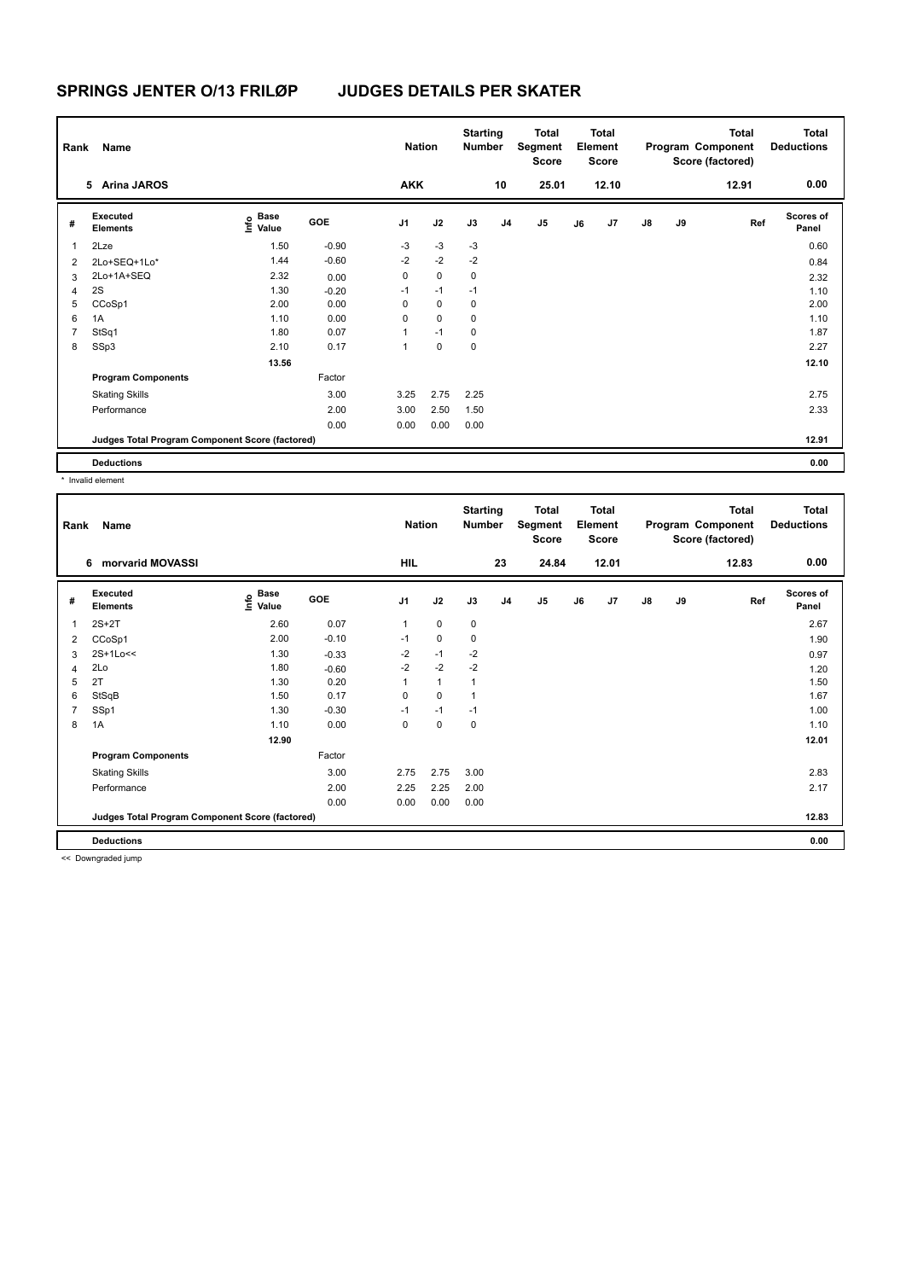| Rank | Name                                            |                                  |            | <b>Nation</b>  |             | <b>Starting</b><br><b>Number</b> |                | <b>Total</b><br>Segment<br><b>Score</b> |    | Total<br>Element<br><b>Score</b> |               |    | <b>Total</b><br>Program Component<br>Score (factored) | <b>Total</b><br><b>Deductions</b> |
|------|-------------------------------------------------|----------------------------------|------------|----------------|-------------|----------------------------------|----------------|-----------------------------------------|----|----------------------------------|---------------|----|-------------------------------------------------------|-----------------------------------|
|      | 5 Arina JAROS                                   |                                  |            | <b>AKK</b>     |             |                                  | 10             | 25.01                                   |    | 12.10                            |               |    | 12.91                                                 | 0.00                              |
| #    | Executed<br><b>Elements</b>                     | <b>Base</b><br>e Base<br>⊆ Value | <b>GOE</b> | J <sub>1</sub> | J2          | J3                               | J <sub>4</sub> | J <sub>5</sub>                          | J6 | J7                               | $\mathsf{J}8$ | J9 | Ref                                                   | <b>Scores of</b><br>Panel         |
| 1    | 2Lze                                            | 1.50                             | $-0.90$    | $-3$           | $-3$        | -3                               |                |                                         |    |                                  |               |    |                                                       | 0.60                              |
| 2    | 2Lo+SEQ+1Lo*                                    | 1.44                             | $-0.60$    | $-2$           | $-2$        | $-2$                             |                |                                         |    |                                  |               |    |                                                       | 0.84                              |
| 3    | 2Lo+1A+SEQ                                      | 2.32                             | 0.00       | 0              | $\mathbf 0$ | 0                                |                |                                         |    |                                  |               |    |                                                       | 2.32                              |
| 4    | 2S                                              | 1.30                             | $-0.20$    | $-1$           | $-1$        | $-1$                             |                |                                         |    |                                  |               |    |                                                       | 1.10                              |
| 5    | CCoSp1                                          | 2.00                             | 0.00       | 0              | $\mathbf 0$ | 0                                |                |                                         |    |                                  |               |    |                                                       | 2.00                              |
| 6    | 1A                                              | 1.10                             | 0.00       | 0              | $\mathbf 0$ | $\mathbf 0$                      |                |                                         |    |                                  |               |    |                                                       | 1.10                              |
|      | StSq1                                           | 1.80                             | 0.07       | 1              | $-1$        | 0                                |                |                                         |    |                                  |               |    |                                                       | 1.87                              |
| 8    | SSp3                                            | 2.10                             | 0.17       | 1              | $\mathbf 0$ | $\mathbf 0$                      |                |                                         |    |                                  |               |    |                                                       | 2.27                              |
|      |                                                 | 13.56                            |            |                |             |                                  |                |                                         |    |                                  |               |    |                                                       | 12.10                             |
|      | <b>Program Components</b>                       |                                  | Factor     |                |             |                                  |                |                                         |    |                                  |               |    |                                                       |                                   |
|      | <b>Skating Skills</b>                           |                                  | 3.00       | 3.25           | 2.75        | 2.25                             |                |                                         |    |                                  |               |    |                                                       | 2.75                              |
|      | Performance                                     |                                  | 2.00       | 3.00           | 2.50        | 1.50                             |                |                                         |    |                                  |               |    |                                                       | 2.33                              |
|      |                                                 |                                  | 0.00       | 0.00           | 0.00        | 0.00                             |                |                                         |    |                                  |               |    |                                                       |                                   |
|      | Judges Total Program Component Score (factored) |                                  |            |                |             |                                  |                |                                         |    |                                  |               |    |                                                       | 12.91                             |
|      | <b>Deductions</b>                               |                                  |            |                |             |                                  |                |                                         |    |                                  |               |    |                                                       | 0.00                              |

\* Invalid element

| Rank           | Name                                            |                   |            | <b>Nation</b>  |              | <b>Starting</b><br><b>Number</b> |                | <b>Total</b><br>Segment<br><b>Score</b> |    | <b>Total</b><br>Element<br><b>Score</b> |               |    | <b>Total</b><br>Program Component<br>Score (factored) | <b>Total</b><br><b>Deductions</b> |
|----------------|-------------------------------------------------|-------------------|------------|----------------|--------------|----------------------------------|----------------|-----------------------------------------|----|-----------------------------------------|---------------|----|-------------------------------------------------------|-----------------------------------|
|                | 6 morvarid MOVASSI                              |                   |            | HIL            |              |                                  | 23             | 24.84                                   |    | 12.01                                   |               |    | 12.83                                                 | 0.00                              |
| #              | Executed<br><b>Elements</b>                     | e Base<br>E Value | <b>GOE</b> | J <sub>1</sub> | J2           | J3                               | J <sub>4</sub> | J5                                      | J6 | J7                                      | $\mathsf{J}8$ | J9 | Ref                                                   | <b>Scores of</b><br>Panel         |
| 1              | $2S+2T$                                         | 2.60              | 0.07       | 1              | $\mathbf 0$  | 0                                |                |                                         |    |                                         |               |    |                                                       | 2.67                              |
| 2              | CCoSp1                                          | 2.00              | $-0.10$    | $-1$           | 0            | 0                                |                |                                         |    |                                         |               |    |                                                       | 1.90                              |
| 3              | 2S+1Lo<<                                        | 1.30              | $-0.33$    | $-2$           | $-1$         | $-2$                             |                |                                         |    |                                         |               |    |                                                       | 0.97                              |
| 4              | 2Lo                                             | 1.80              | $-0.60$    | $-2$           | $-2$         | $-2$                             |                |                                         |    |                                         |               |    |                                                       | 1.20                              |
| 5              | 2T                                              | 1.30              | 0.20       |                | $\mathbf{1}$ | 1                                |                |                                         |    |                                         |               |    |                                                       | 1.50                              |
| 6              | StSqB                                           | 1.50              | 0.17       | 0              | 0            | 1                                |                |                                         |    |                                         |               |    |                                                       | 1.67                              |
| $\overline{7}$ | SSp1                                            | 1.30              | $-0.30$    | $-1$           | $-1$         | $-1$                             |                |                                         |    |                                         |               |    |                                                       | 1.00                              |
| 8              | 1A                                              | 1.10              | 0.00       | 0              | $\mathbf 0$  | 0                                |                |                                         |    |                                         |               |    |                                                       | 1.10                              |
|                |                                                 | 12.90             |            |                |              |                                  |                |                                         |    |                                         |               |    |                                                       | 12.01                             |
|                | <b>Program Components</b>                       |                   | Factor     |                |              |                                  |                |                                         |    |                                         |               |    |                                                       |                                   |
|                | <b>Skating Skills</b>                           |                   | 3.00       | 2.75           | 2.75         | 3.00                             |                |                                         |    |                                         |               |    |                                                       | 2.83                              |
|                | Performance                                     |                   | 2.00       | 2.25           | 2.25         | 2.00                             |                |                                         |    |                                         |               |    |                                                       | 2.17                              |
|                |                                                 |                   | 0.00       | 0.00           | 0.00         | 0.00                             |                |                                         |    |                                         |               |    |                                                       |                                   |
|                | Judges Total Program Component Score (factored) |                   |            |                |              |                                  |                |                                         |    |                                         |               |    |                                                       | 12.83                             |
|                | <b>Deductions</b>                               |                   |            |                |              |                                  |                |                                         |    |                                         |               |    |                                                       | 0.00                              |

<< Downgraded jump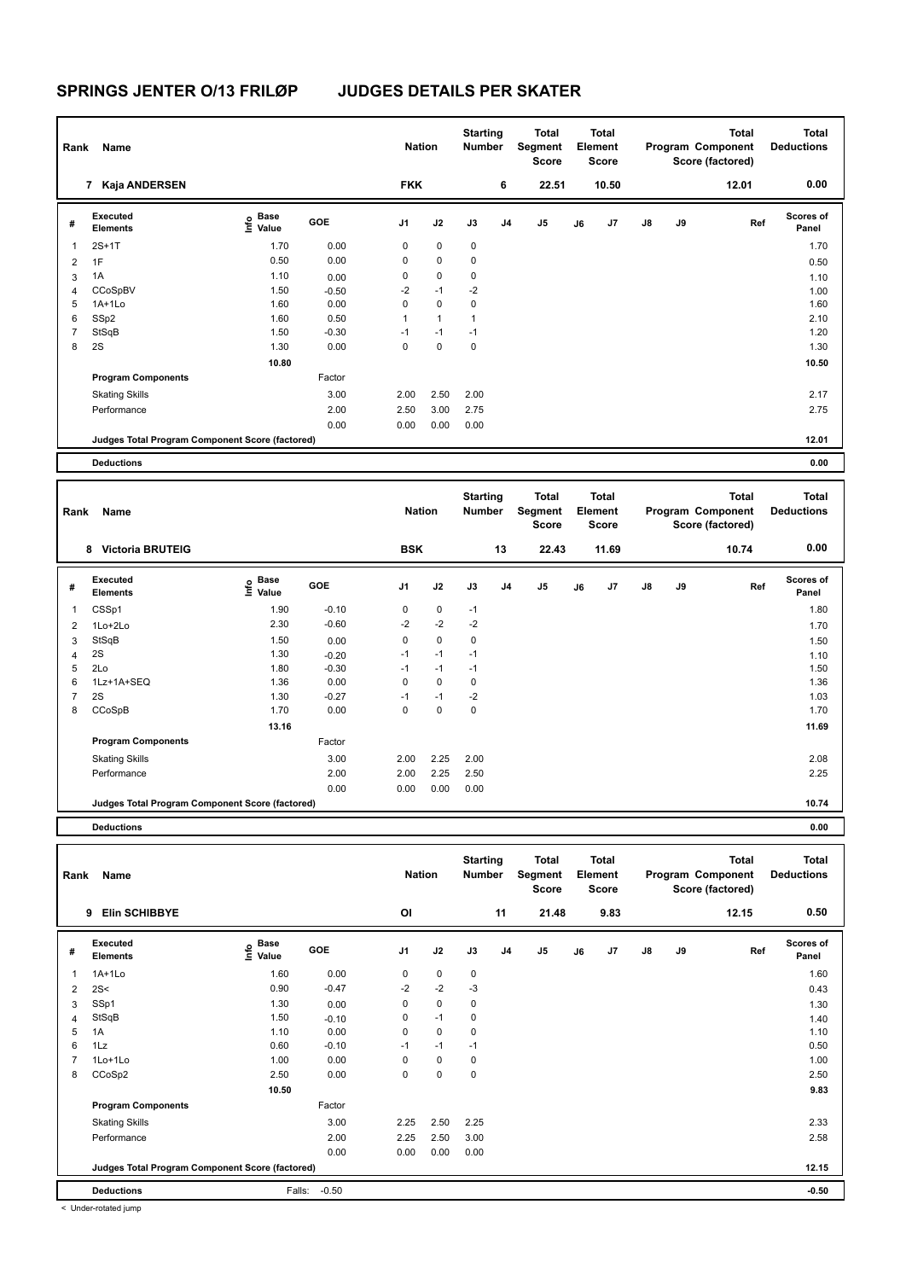| Rank           | Name                                            |                   |         | <b>Nation</b>  |              | <b>Starting</b><br><b>Number</b> |                | <b>Total</b><br>Segment<br><b>Score</b> |    | <b>Total</b><br>Element<br><b>Score</b> |               |    | <b>Total</b><br>Program Component<br>Score (factored) | <b>Total</b><br><b>Deductions</b> |
|----------------|-------------------------------------------------|-------------------|---------|----------------|--------------|----------------------------------|----------------|-----------------------------------------|----|-----------------------------------------|---------------|----|-------------------------------------------------------|-----------------------------------|
|                | 7 Kaja ANDERSEN                                 |                   |         | <b>FKK</b>     |              |                                  | 6              | 22.51                                   |    | 10.50                                   |               |    | 12.01                                                 | 0.00                              |
| #              | Executed<br><b>Elements</b>                     | e Base<br>E Value | GOE     | J <sub>1</sub> | J2           | J3                               | J <sub>4</sub> | J5                                      | J6 | J7                                      | $\mathsf{J}8$ | J9 | Ref                                                   | <b>Scores of</b><br>Panel         |
| $\overline{1}$ | $2S+1T$                                         | 1.70              | 0.00    | $\mathbf 0$    | 0            | $\pmb{0}$                        |                |                                         |    |                                         |               |    |                                                       | 1.70                              |
| $\overline{2}$ | 1F                                              | 0.50              | 0.00    | $\mathbf 0$    | 0            | $\mathbf 0$                      |                |                                         |    |                                         |               |    |                                                       | 0.50                              |
| 3              | 1A                                              | 1.10              | 0.00    | 0              | 0            | 0                                |                |                                         |    |                                         |               |    |                                                       | 1.10                              |
| 4              | CCoSpBV                                         | 1.50              | $-0.50$ | $-2$           | $-1$         | $-2$                             |                |                                         |    |                                         |               |    |                                                       | 1.00                              |
| 5              | $1A+1Lo$                                        | 1.60              | 0.00    | $\mathbf 0$    | $\mathbf 0$  | $\mathbf 0$                      |                |                                         |    |                                         |               |    |                                                       | 1.60                              |
| 6              | SSp2                                            | 1.60              | 0.50    | 1              | $\mathbf{1}$ | 1                                |                |                                         |    |                                         |               |    |                                                       | 2.10                              |
| 7              | StSqB                                           | 1.50              | $-0.30$ | $-1$           | $-1$         | $-1$                             |                |                                         |    |                                         |               |    |                                                       | 1.20                              |
| 8              | 2S                                              | 1.30              | 0.00    | $\mathbf 0$    | $\mathbf 0$  | $\pmb{0}$                        |                |                                         |    |                                         |               |    |                                                       | 1.30                              |
|                |                                                 | 10.80             |         |                |              |                                  |                |                                         |    |                                         |               |    |                                                       | 10.50                             |
|                | <b>Program Components</b>                       |                   | Factor  |                |              |                                  |                |                                         |    |                                         |               |    |                                                       |                                   |
|                | <b>Skating Skills</b>                           |                   | 3.00    | 2.00           | 2.50         | 2.00                             |                |                                         |    |                                         |               |    |                                                       | 2.17                              |
|                | Performance                                     |                   | 2.00    | 2.50           | 3.00         | 2.75                             |                |                                         |    |                                         |               |    |                                                       | 2.75                              |
|                |                                                 |                   | 0.00    | 0.00           | 0.00         | 0.00                             |                |                                         |    |                                         |               |    |                                                       |                                   |
|                | Judges Total Program Component Score (factored) |                   |         |                |              |                                  |                |                                         |    |                                         |               |    |                                                       | 12.01                             |
|                | <b>Deductions</b>                               |                   |         |                |              |                                  |                |                                         |    |                                         |               |    |                                                       | 0.00                              |

| Rank           | Name                                            |                                  |         | <b>Nation</b>  |             | <b>Starting</b><br><b>Number</b> |    | <b>Total</b><br>Segment<br><b>Score</b> |    | <b>Total</b><br>Element<br><b>Score</b> |               |    | <b>Total</b><br>Program Component<br>Score (factored) | <b>Total</b><br><b>Deductions</b> |
|----------------|-------------------------------------------------|----------------------------------|---------|----------------|-------------|----------------------------------|----|-----------------------------------------|----|-----------------------------------------|---------------|----|-------------------------------------------------------|-----------------------------------|
|                | <b>Victoria BRUTEIG</b><br>8                    |                                  |         | <b>BSK</b>     |             |                                  | 13 | 22.43                                   |    | 11.69                                   |               |    | 10.74                                                 | 0.00                              |
| #              | <b>Executed</b><br><b>Elements</b>              | <b>Base</b><br>e Base<br>E Value | GOE     | J <sub>1</sub> | J2          | J3                               | J4 | J <sub>5</sub>                          | J6 | J7                                      | $\mathsf{J}8$ | J9 | Ref                                                   | <b>Scores of</b><br>Panel         |
| 1              | CSSp1                                           | 1.90                             | $-0.10$ | 0              | $\mathbf 0$ | $-1$                             |    |                                         |    |                                         |               |    |                                                       | 1.80                              |
| $\overline{2}$ | 1Lo+2Lo                                         | 2.30                             | $-0.60$ | $-2$           | $-2$        | $-2$                             |    |                                         |    |                                         |               |    |                                                       | 1.70                              |
| 3              | StSqB                                           | 1.50                             | 0.00    | 0              | $\mathbf 0$ | 0                                |    |                                         |    |                                         |               |    |                                                       | 1.50                              |
| 4              | 2S                                              | 1.30                             | $-0.20$ | $-1$           | $-1$        | $-1$                             |    |                                         |    |                                         |               |    |                                                       | 1.10                              |
| 5              | 2Lo                                             | 1.80                             | $-0.30$ | $-1$           | $-1$        | $-1$                             |    |                                         |    |                                         |               |    |                                                       | 1.50                              |
| 6              | 1Lz+1A+SEQ                                      | 1.36                             | 0.00    | 0              | $\mathbf 0$ | 0                                |    |                                         |    |                                         |               |    |                                                       | 1.36                              |
| $\overline{7}$ | 2S                                              | 1.30                             | $-0.27$ | $-1$           | $-1$        | $-2$                             |    |                                         |    |                                         |               |    |                                                       | 1.03                              |
| 8              | CCoSpB                                          | 1.70                             | 0.00    | 0              | $\mathbf 0$ | 0                                |    |                                         |    |                                         |               |    |                                                       | 1.70                              |
|                |                                                 | 13.16                            |         |                |             |                                  |    |                                         |    |                                         |               |    |                                                       | 11.69                             |
|                | <b>Program Components</b>                       |                                  | Factor  |                |             |                                  |    |                                         |    |                                         |               |    |                                                       |                                   |
|                | <b>Skating Skills</b>                           |                                  | 3.00    | 2.00           | 2.25        | 2.00                             |    |                                         |    |                                         |               |    |                                                       | 2.08                              |
|                | Performance                                     |                                  | 2.00    | 2.00           | 2.25        | 2.50                             |    |                                         |    |                                         |               |    |                                                       | 2.25                              |
|                |                                                 |                                  | 0.00    | 0.00           | 0.00        | 0.00                             |    |                                         |    |                                         |               |    |                                                       |                                   |
|                | Judges Total Program Component Score (factored) |                                  |         |                |             |                                  |    |                                         |    |                                         |               |    |                                                       | 10.74                             |

**Deductions 0.00**

| Rank | Name                                            |                           |         | <b>Nation</b>  |             | <b>Starting</b><br><b>Number</b> |                | <b>Total</b><br>Segment<br><b>Score</b> |    | <b>Total</b><br>Element<br><b>Score</b> |               |    | Total<br>Program Component<br>Score (factored) | <b>Total</b><br><b>Deductions</b> |
|------|-------------------------------------------------|---------------------------|---------|----------------|-------------|----------------------------------|----------------|-----------------------------------------|----|-----------------------------------------|---------------|----|------------------------------------------------|-----------------------------------|
|      | <b>Elin SCHIBBYE</b><br>9                       |                           |         | OI             |             |                                  | 11             | 21.48                                   |    | 9.83                                    |               |    | 12.15                                          | 0.50                              |
| #    | Executed<br><b>Elements</b>                     | Base<br>e Base<br>⊆ Value | GOE     | J <sub>1</sub> | J2          | J3                               | J <sub>4</sub> | $\mathsf{J}5$                           | J6 | J7                                      | $\mathsf{J}8$ | J9 | Ref                                            | <b>Scores of</b><br>Panel         |
| 1    | $1A+1Lo$                                        | 1.60                      | 0.00    | 0              | $\mathbf 0$ | $\pmb{0}$                        |                |                                         |    |                                         |               |    |                                                | 1.60                              |
| 2    | 2S<                                             | 0.90                      | $-0.47$ | $-2$           | $-2$        | $-3$                             |                |                                         |    |                                         |               |    |                                                | 0.43                              |
| 3    | SSp1                                            | 1.30                      | 0.00    | 0              | $\mathbf 0$ | 0                                |                |                                         |    |                                         |               |    |                                                | 1.30                              |
| 4    | StSqB                                           | 1.50                      | $-0.10$ | 0              | $-1$        | $\mathbf 0$                      |                |                                         |    |                                         |               |    |                                                | 1.40                              |
| 5    | 1A                                              | 1.10                      | 0.00    | 0              | $\mathbf 0$ | 0                                |                |                                         |    |                                         |               |    |                                                | 1.10                              |
| 6    | 1Lz                                             | 0.60                      | $-0.10$ | $-1$           | $-1$        | $-1$                             |                |                                         |    |                                         |               |    |                                                | 0.50                              |
|      | 1Lo+1Lo                                         | 1.00                      | 0.00    | 0              | $\mathbf 0$ | 0                                |                |                                         |    |                                         |               |    |                                                | 1.00                              |
| 8    | CCoSp2                                          | 2.50                      | 0.00    | 0              | $\mathbf 0$ | $\mathbf 0$                      |                |                                         |    |                                         |               |    |                                                | 2.50                              |
|      |                                                 | 10.50                     |         |                |             |                                  |                |                                         |    |                                         |               |    |                                                | 9.83                              |
|      | <b>Program Components</b>                       |                           | Factor  |                |             |                                  |                |                                         |    |                                         |               |    |                                                |                                   |
|      | <b>Skating Skills</b>                           |                           | 3.00    | 2.25           | 2.50        | 2.25                             |                |                                         |    |                                         |               |    |                                                | 2.33                              |
|      | Performance                                     |                           | 2.00    | 2.25           | 2.50        | 3.00                             |                |                                         |    |                                         |               |    |                                                | 2.58                              |
|      |                                                 |                           | 0.00    | 0.00           | 0.00        | 0.00                             |                |                                         |    |                                         |               |    |                                                |                                   |
|      | Judges Total Program Component Score (factored) |                           |         |                |             |                                  |                |                                         |    |                                         |               |    |                                                | 12.15                             |
|      | <b>Deductions</b>                               | Falls:                    | $-0.50$ |                |             |                                  |                |                                         |    |                                         |               |    |                                                | $-0.50$                           |

< Under-rotated jump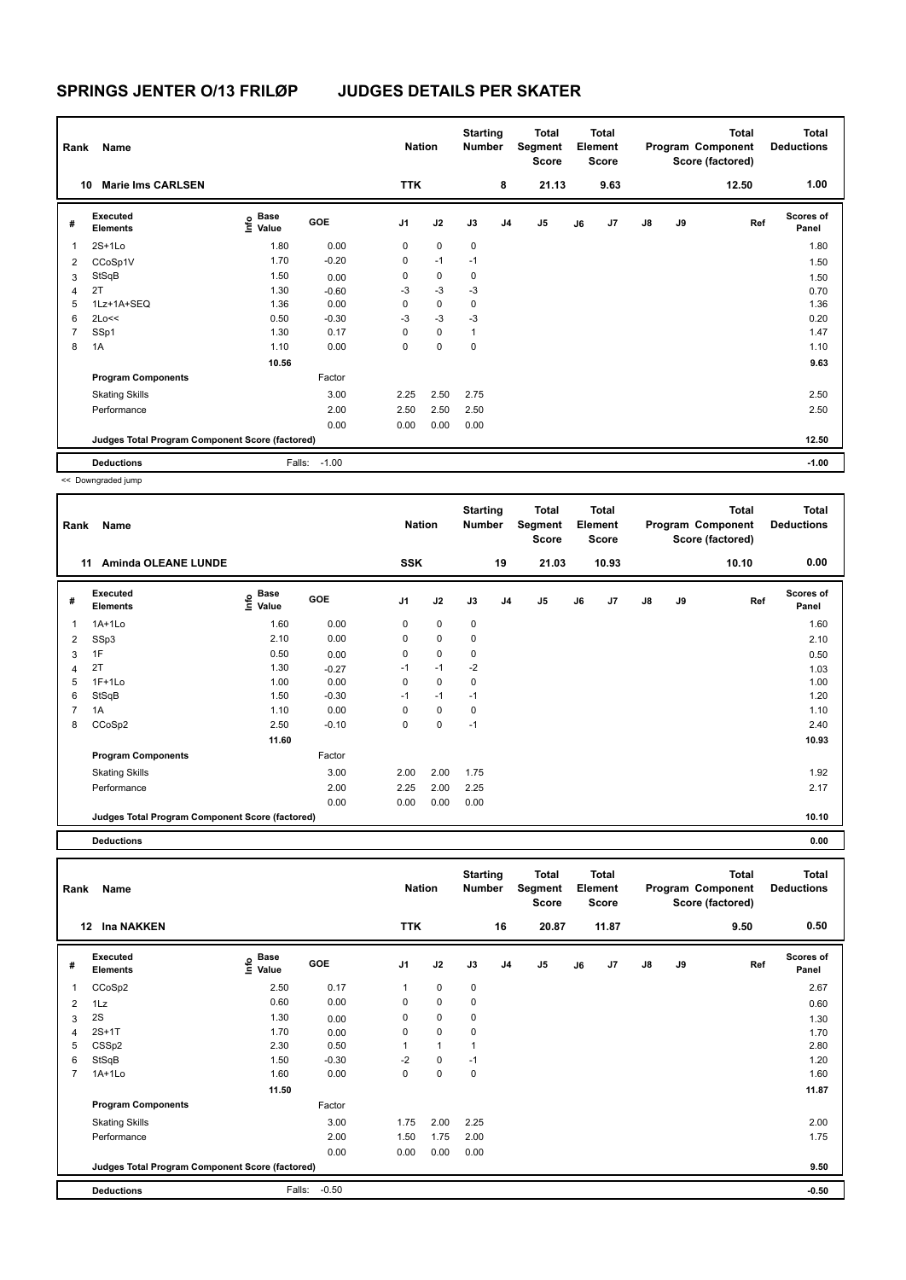| Rank           | Name                                            |                           |         | <b>Nation</b>  |             | <b>Starting</b><br><b>Number</b> |                | Total<br>Segment<br>Score |    | <b>Total</b><br>Element<br>Score |               |    | Total<br>Program Component<br>Score (factored) | <b>Total</b><br><b>Deductions</b> |
|----------------|-------------------------------------------------|---------------------------|---------|----------------|-------------|----------------------------------|----------------|---------------------------|----|----------------------------------|---------------|----|------------------------------------------------|-----------------------------------|
| 10             | <b>Marie Ims CARLSEN</b>                        |                           |         | <b>TTK</b>     |             |                                  | 8              | 21.13                     |    | 9.63                             |               |    | 12.50                                          | 1.00                              |
| #              | Executed<br><b>Elements</b>                     | Base<br>o Base<br>⊆ Value | GOE     | J <sub>1</sub> | J2          | J3                               | J <sub>4</sub> | J <sub>5</sub>            | J6 | J7                               | $\mathsf{J}8$ | J9 | Ref                                            | <b>Scores of</b><br>Panel         |
| $\mathbf{1}$   | $2S+1Lo$                                        | 1.80                      | 0.00    | 0              | $\mathbf 0$ | $\mathbf 0$                      |                |                           |    |                                  |               |    |                                                | 1.80                              |
| 2              | CCoSp1V                                         | 1.70                      | $-0.20$ | 0              | $-1$        | $-1$                             |                |                           |    |                                  |               |    |                                                | 1.50                              |
| 3              | StSqB                                           | 1.50                      | 0.00    | 0              | $\mathbf 0$ | 0                                |                |                           |    |                                  |               |    |                                                | 1.50                              |
| 4              | 2T                                              | 1.30                      | $-0.60$ | -3             | $-3$        | -3                               |                |                           |    |                                  |               |    |                                                | 0.70                              |
| 5              | 1Lz+1A+SEQ                                      | 1.36                      | 0.00    | 0              | $\mathbf 0$ | 0                                |                |                           |    |                                  |               |    |                                                | 1.36                              |
| 6              | 2Lo<<                                           | 0.50                      | $-0.30$ | -3             | $-3$        | $-3$                             |                |                           |    |                                  |               |    |                                                | 0.20                              |
| $\overline{7}$ | SSp1                                            | 1.30                      | 0.17    | $\Omega$       | $\mathbf 0$ | $\mathbf{1}$                     |                |                           |    |                                  |               |    |                                                | 1.47                              |
| 8              | 1A                                              | 1.10                      | 0.00    | 0              | $\mathbf 0$ | 0                                |                |                           |    |                                  |               |    |                                                | 1.10                              |
|                |                                                 | 10.56                     |         |                |             |                                  |                |                           |    |                                  |               |    |                                                | 9.63                              |
|                | <b>Program Components</b>                       |                           | Factor  |                |             |                                  |                |                           |    |                                  |               |    |                                                |                                   |
|                | <b>Skating Skills</b>                           |                           | 3.00    | 2.25           | 2.50        | 2.75                             |                |                           |    |                                  |               |    |                                                | 2.50                              |
|                | Performance                                     |                           | 2.00    | 2.50           | 2.50        | 2.50                             |                |                           |    |                                  |               |    |                                                | 2.50                              |
|                |                                                 |                           | 0.00    | 0.00           | 0.00        | 0.00                             |                |                           |    |                                  |               |    |                                                |                                   |
|                | Judges Total Program Component Score (factored) |                           |         |                |             |                                  |                |                           |    |                                  |               |    |                                                | 12.50                             |
|                | <b>Deductions</b>                               | Falls:                    | $-1.00$ |                |             |                                  |                |                           |    |                                  |               |    |                                                | $-1.00$                           |

<< Downgraded jump

| Rank | Name                                            |                       |         | <b>Nation</b>  |             | <b>Starting</b><br><b>Number</b> |                | <b>Total</b><br>Segment<br><b>Score</b> |    | <b>Total</b><br>Element<br>Score |               |    | <b>Total</b><br>Program Component<br>Score (factored) | <b>Total</b><br><b>Deductions</b> |
|------|-------------------------------------------------|-----------------------|---------|----------------|-------------|----------------------------------|----------------|-----------------------------------------|----|----------------------------------|---------------|----|-------------------------------------------------------|-----------------------------------|
|      | <b>Aminda OLEANE LUNDE</b><br>11                |                       |         | <b>SSK</b>     |             |                                  | 19             | 21.03                                   |    | 10.93                            |               |    | 10.10                                                 | 0.00                              |
| #    | Executed<br><b>Elements</b>                     | $\sum_{i=1}^{n}$ Base | GOE     | J <sub>1</sub> | J2          | J3                               | J <sub>4</sub> | J <sub>5</sub>                          | J6 | J7                               | $\mathsf{J}8$ | J9 | Ref                                                   | <b>Scores of</b><br>Panel         |
| 1    | $1A+1Lo$                                        | 1.60                  | 0.00    | 0              | 0           | 0                                |                |                                         |    |                                  |               |    |                                                       | 1.60                              |
| 2    | SSp3                                            | 2.10                  | 0.00    | 0              | $\mathbf 0$ | 0                                |                |                                         |    |                                  |               |    |                                                       | 2.10                              |
| 3    | 1F                                              | 0.50                  | 0.00    | 0              | $\mathbf 0$ | 0                                |                |                                         |    |                                  |               |    |                                                       | 0.50                              |
| 4    | 2T                                              | 1.30                  | $-0.27$ | $-1$           | $-1$        | $-2$                             |                |                                         |    |                                  |               |    |                                                       | 1.03                              |
| 5    | $1F+1Lo$                                        | 1.00                  | 0.00    | 0              | 0           | 0                                |                |                                         |    |                                  |               |    |                                                       | 1.00                              |
| 6    | StSqB                                           | 1.50                  | $-0.30$ | $-1$           | $-1$        | $-1$                             |                |                                         |    |                                  |               |    |                                                       | 1.20                              |
| 7    | 1A                                              | 1.10                  | 0.00    | $\Omega$       | 0           | 0                                |                |                                         |    |                                  |               |    |                                                       | 1.10                              |
| 8    | CCoSp2                                          | 2.50                  | $-0.10$ | 0              | 0           | $-1$                             |                |                                         |    |                                  |               |    |                                                       | 2.40                              |
|      |                                                 | 11.60                 |         |                |             |                                  |                |                                         |    |                                  |               |    |                                                       | 10.93                             |
|      | <b>Program Components</b>                       |                       | Factor  |                |             |                                  |                |                                         |    |                                  |               |    |                                                       |                                   |
|      | <b>Skating Skills</b>                           |                       | 3.00    | 2.00           | 2.00        | 1.75                             |                |                                         |    |                                  |               |    |                                                       | 1.92                              |
|      | Performance                                     |                       | 2.00    | 2.25           | 2.00        | 2.25                             |                |                                         |    |                                  |               |    |                                                       | 2.17                              |
|      |                                                 |                       | 0.00    | 0.00           | 0.00        | 0.00                             |                |                                         |    |                                  |               |    |                                                       |                                   |
|      | Judges Total Program Component Score (factored) |                       |         |                |             |                                  |                |                                         |    |                                  |               |    |                                                       | 10.10                             |

**Deductions 0.00**

**Total Deductions Total Program Component Score (factored) Total Element Segment Score Total Score Starting Rank Name Nation Number # Executed Elements Base Value GOE J1 J2 J3 J4 J5 J6 J7 J8 J9 Scores of Panel** 1 CCoSp2 2.50 0.17 1 0 0 **Ref**  CCoSp2 2.67 **Info 12 Ina NAKKEN TTK 16 20.87 11.87 9.50 0.50** 2 1Lz 0.60 0.00 0 0 0 0.60  $3 \quad 2$ S 1.30  $0.00 \quad 0 \quad 0$ 4 2S+1T 1.70 0.00 0 0 0 0 1.70 1.70 5 CSSp2 2.30 0.50 1 1 1 2.80 6 StSqB 1.50 -0.30 -2 0 -1 1.20 7 1A+1Lo 1.60 0.00 0 0 0 1.60 **11.50 11.87 Program Components**  Skating Skills 1.75 2.00 2.25 Factor 3.00 1.75 2.00 2.25 2.00 2.25 Performance 2.00 2.00 1.75 2.00 2.00 2.00 1.75 2.00 2.00 2.00 2.00 2.00 2.00 2.175 2.00 2.175 2.00 2.175 2.00 2.175 0.00 0.00 0.00 0.00 **Deductions** Falls: -0.50 **-0.50 Judges Total Program Component Score (factored) 9.50**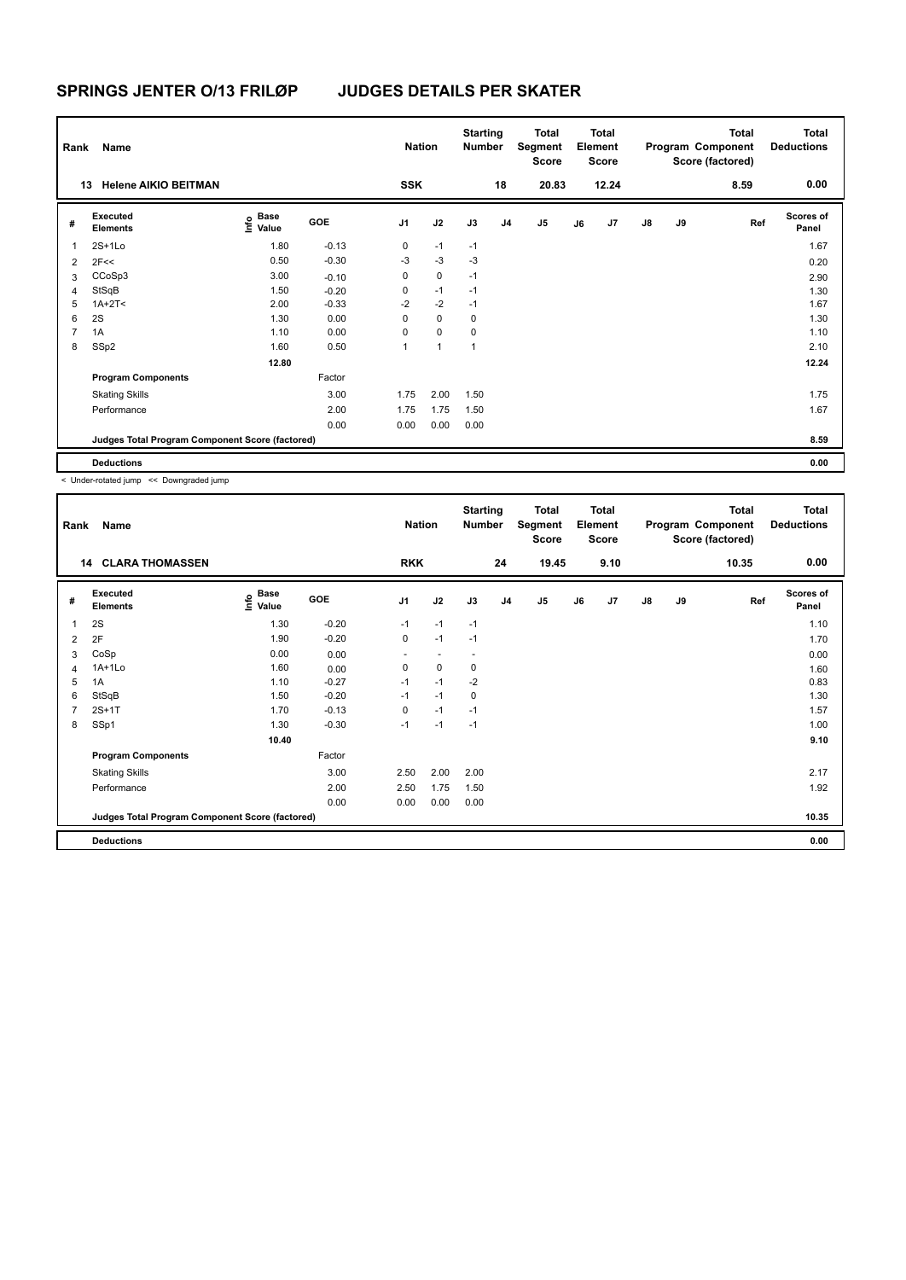| Rank           | Name                                            |                                             |         | <b>Nation</b>  |             | <b>Starting</b><br><b>Number</b> |                | Total<br>Segment<br>Score |    | <b>Total</b><br>Element<br><b>Score</b> |               |    | <b>Total</b><br>Program Component<br>Score (factored) | <b>Total</b><br><b>Deductions</b> |
|----------------|-------------------------------------------------|---------------------------------------------|---------|----------------|-------------|----------------------------------|----------------|---------------------------|----|-----------------------------------------|---------------|----|-------------------------------------------------------|-----------------------------------|
|                | <b>Helene AIKIO BEITMAN</b><br>13               |                                             |         | <b>SSK</b>     |             |                                  | 18             | 20.83                     |    | 12.24                                   |               |    | 8.59                                                  | 0.00                              |
| #              | Executed<br><b>Elements</b>                     | <b>Base</b><br>e <sup>Base</sup><br>⊆ Value | GOE     | J <sub>1</sub> | J2          | J3                               | J <sub>4</sub> | J <sub>5</sub>            | J6 | J7                                      | $\mathsf{J}8$ | J9 | Ref                                                   | <b>Scores of</b><br>Panel         |
| $\overline{1}$ | $2S+1L0$                                        | 1.80                                        | $-0.13$ | 0              | $-1$        | $-1$                             |                |                           |    |                                         |               |    |                                                       | 1.67                              |
| 2              | 2F<<                                            | 0.50                                        | $-0.30$ | $-3$           | $-3$        | $-3$                             |                |                           |    |                                         |               |    |                                                       | 0.20                              |
| 3              | CCoSp3                                          | 3.00                                        | $-0.10$ | 0              | $\mathbf 0$ | $-1$                             |                |                           |    |                                         |               |    |                                                       | 2.90                              |
| $\overline{4}$ | StSqB                                           | 1.50                                        | $-0.20$ | 0              | $-1$        | $-1$                             |                |                           |    |                                         |               |    |                                                       | 1.30                              |
| 5              | $1A+2T2$                                        | 2.00                                        | $-0.33$ | $-2$           | $-2$        | $-1$                             |                |                           |    |                                         |               |    |                                                       | 1.67                              |
| 6              | 2S                                              | 1.30                                        | 0.00    | 0              | $\mathbf 0$ | 0                                |                |                           |    |                                         |               |    |                                                       | 1.30                              |
| $\overline{7}$ | 1A                                              | 1.10                                        | 0.00    | 0              | $\mathbf 0$ | 0                                |                |                           |    |                                         |               |    |                                                       | 1.10                              |
| 8              | SSp2                                            | 1.60                                        | 0.50    | 1              | 1           | $\overline{1}$                   |                |                           |    |                                         |               |    |                                                       | 2.10                              |
|                |                                                 | 12.80                                       |         |                |             |                                  |                |                           |    |                                         |               |    |                                                       | 12.24                             |
|                | <b>Program Components</b>                       |                                             | Factor  |                |             |                                  |                |                           |    |                                         |               |    |                                                       |                                   |
|                | <b>Skating Skills</b>                           |                                             | 3.00    | 1.75           | 2.00        | 1.50                             |                |                           |    |                                         |               |    |                                                       | 1.75                              |
|                | Performance                                     |                                             | 2.00    | 1.75           | 1.75        | 1.50                             |                |                           |    |                                         |               |    |                                                       | 1.67                              |
|                |                                                 |                                             | 0.00    | 0.00           | 0.00        | 0.00                             |                |                           |    |                                         |               |    |                                                       |                                   |
|                | Judges Total Program Component Score (factored) |                                             |         |                |             |                                  |                |                           |    |                                         |               |    |                                                       | 8.59                              |
|                | <b>Deductions</b>                               |                                             |         |                |             |                                  |                |                           |    |                                         |               |    |                                                       | 0.00                              |

< Under-rotated jump << Downgraded jump

| Rank | Name                                            |                   |         | <b>Nation</b>            |                          | <b>Starting</b><br><b>Number</b> |                | <b>Total</b><br>Segment<br>Score |    | <b>Total</b><br>Element<br><b>Score</b> |               |    | <b>Total</b><br>Program Component<br>Score (factored) | <b>Total</b><br><b>Deductions</b> |
|------|-------------------------------------------------|-------------------|---------|--------------------------|--------------------------|----------------------------------|----------------|----------------------------------|----|-----------------------------------------|---------------|----|-------------------------------------------------------|-----------------------------------|
|      | <b>CLARA THOMASSEN</b><br>14                    |                   |         | <b>RKK</b>               |                          |                                  | 24             | 19.45                            |    | 9.10                                    |               |    | 10.35                                                 | 0.00                              |
| #    | Executed<br><b>Elements</b>                     | e Base<br>E Value | GOE     | J <sub>1</sub>           | J2                       | J3                               | J <sub>4</sub> | J5                               | J6 | J7                                      | $\mathsf{J}8$ | J9 | Ref                                                   | <b>Scores of</b><br>Panel         |
| 1    | 2S                                              | 1.30              | $-0.20$ | $-1$                     | $-1$                     | $-1$                             |                |                                  |    |                                         |               |    |                                                       | 1.10                              |
| 2    | 2F                                              | 1.90              | $-0.20$ | 0                        | $-1$                     | $-1$                             |                |                                  |    |                                         |               |    |                                                       | 1.70                              |
| 3    | CoSp                                            | 0.00              | 0.00    | $\overline{\phantom{a}}$ | $\overline{\phantom{a}}$ |                                  |                |                                  |    |                                         |               |    |                                                       | 0.00                              |
| 4    | $1A+1Lo$                                        | 1.60              | 0.00    | 0                        | 0                        | 0                                |                |                                  |    |                                         |               |    |                                                       | 1.60                              |
| 5    | 1A                                              | 1.10              | $-0.27$ | $-1$                     | $-1$                     | $-2$                             |                |                                  |    |                                         |               |    |                                                       | 0.83                              |
| 6    | StSqB                                           | 1.50              | $-0.20$ | $-1$                     | $-1$                     | 0                                |                |                                  |    |                                         |               |    |                                                       | 1.30                              |
| 7    | $2S+1T$                                         | 1.70              | $-0.13$ | 0                        | $-1$                     | $-1$                             |                |                                  |    |                                         |               |    |                                                       | 1.57                              |
| 8    | SSp1                                            | 1.30              | $-0.30$ | $-1$                     | $-1$                     | $-1$                             |                |                                  |    |                                         |               |    |                                                       | 1.00                              |
|      |                                                 | 10.40             |         |                          |                          |                                  |                |                                  |    |                                         |               |    |                                                       | 9.10                              |
|      | <b>Program Components</b>                       |                   | Factor  |                          |                          |                                  |                |                                  |    |                                         |               |    |                                                       |                                   |
|      | <b>Skating Skills</b>                           |                   | 3.00    | 2.50                     | 2.00                     | 2.00                             |                |                                  |    |                                         |               |    |                                                       | 2.17                              |
|      | Performance                                     |                   | 2.00    | 2.50                     | 1.75                     | 1.50                             |                |                                  |    |                                         |               |    |                                                       | 1.92                              |
|      |                                                 |                   | 0.00    | 0.00                     | 0.00                     | 0.00                             |                |                                  |    |                                         |               |    |                                                       |                                   |
|      | Judges Total Program Component Score (factored) |                   |         |                          |                          |                                  |                |                                  |    |                                         |               |    |                                                       | 10.35                             |
|      | <b>Deductions</b>                               |                   |         |                          |                          |                                  |                |                                  |    |                                         |               |    |                                                       | 0.00                              |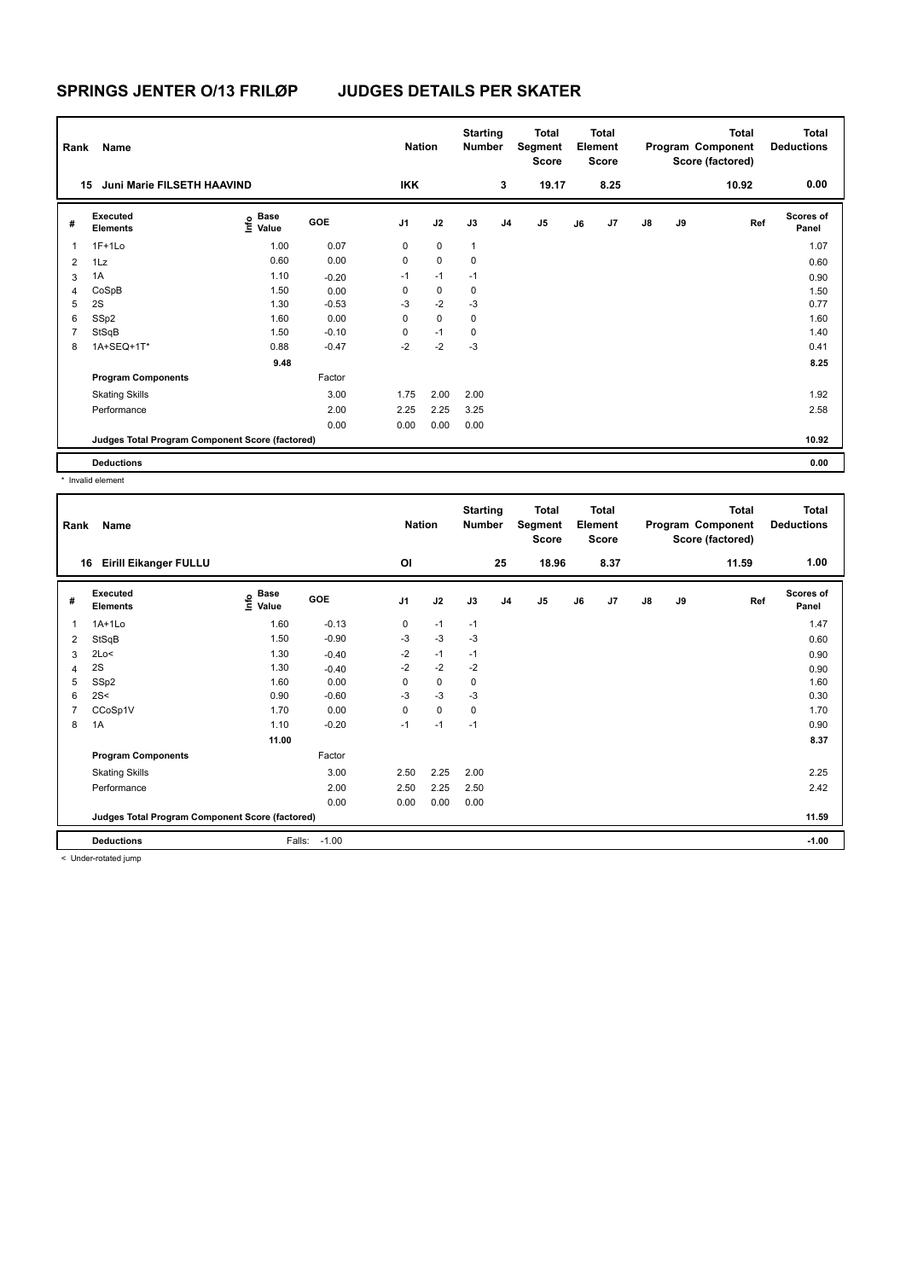| Rank           | Name                                            | <b>Nation</b>             |            | <b>Starting</b><br><b>Number</b> |             | <b>Total</b><br>Segment<br>Score |                | <b>Total</b><br>Element<br><b>Score</b> |    |      | <b>Total</b><br>Program Component<br>Score (factored) | <b>Total</b><br><b>Deductions</b> |       |                           |
|----------------|-------------------------------------------------|---------------------------|------------|----------------------------------|-------------|----------------------------------|----------------|-----------------------------------------|----|------|-------------------------------------------------------|-----------------------------------|-------|---------------------------|
|                | Juni Marie FILSETH HAAVIND<br>15                |                           |            | <b>IKK</b>                       |             |                                  | 3              | 19.17                                   |    | 8.25 |                                                       |                                   | 10.92 | 0.00                      |
| #              | Executed<br><b>Elements</b>                     | Base<br>o Base<br>⊆ Value | <b>GOE</b> | J <sub>1</sub>                   | J2          | J3                               | J <sub>4</sub> | J <sub>5</sub>                          | J6 | J7   | $\mathsf{J}8$                                         | J9                                | Ref   | <b>Scores of</b><br>Panel |
| 1              | $1F+1Lo$                                        | 1.00                      | 0.07       | 0                                | $\mathbf 0$ | $\mathbf{1}$                     |                |                                         |    |      |                                                       |                                   |       | 1.07                      |
| $\overline{2}$ | 1Lz                                             | 0.60                      | 0.00       | 0                                | $\mathbf 0$ | 0                                |                |                                         |    |      |                                                       |                                   |       | 0.60                      |
| 3              | 1A                                              | 1.10                      | $-0.20$    | $-1$                             | $-1$        | $-1$                             |                |                                         |    |      |                                                       |                                   |       | 0.90                      |
| 4              | CoSpB                                           | 1.50                      | 0.00       | 0                                | 0           | 0                                |                |                                         |    |      |                                                       |                                   |       | 1.50                      |
| 5              | 2S                                              | 1.30                      | $-0.53$    | $-3$                             | $-2$        | $-3$                             |                |                                         |    |      |                                                       |                                   |       | 0.77                      |
| 6              | SSp2                                            | 1.60                      | 0.00       | 0                                | $\mathbf 0$ | $\mathbf 0$                      |                |                                         |    |      |                                                       |                                   |       | 1.60                      |
| 7              | StSqB                                           | 1.50                      | $-0.10$    | 0                                | $-1$        | 0                                |                |                                         |    |      |                                                       |                                   |       | 1.40                      |
| 8              | 1A+SEQ+1T*                                      | 0.88                      | $-0.47$    | $-2$                             | $-2$        | $-3$                             |                |                                         |    |      |                                                       |                                   |       | 0.41                      |
|                |                                                 | 9.48                      |            |                                  |             |                                  |                |                                         |    |      |                                                       |                                   |       | 8.25                      |
|                | <b>Program Components</b>                       |                           | Factor     |                                  |             |                                  |                |                                         |    |      |                                                       |                                   |       |                           |
|                | <b>Skating Skills</b>                           |                           | 3.00       | 1.75                             | 2.00        | 2.00                             |                |                                         |    |      |                                                       |                                   |       | 1.92                      |
|                | Performance                                     |                           | 2.00       | 2.25                             | 2.25        | 3.25                             |                |                                         |    |      |                                                       |                                   |       | 2.58                      |
|                |                                                 |                           | 0.00       | 0.00                             | 0.00        | 0.00                             |                |                                         |    |      |                                                       |                                   |       |                           |
|                | Judges Total Program Component Score (factored) |                           |            |                                  |             |                                  |                |                                         |    |      |                                                       |                                   |       | 10.92                     |
|                | <b>Deductions</b>                               |                           |            |                                  |             |                                  |                |                                         |    |      |                                                       |                                   |       | 0.00                      |

\* Invalid element

| Rank | Name                                            |                                                                       |         | <b>Nation</b>  |             | <b>Starting</b><br><b>Number</b> |                | <b>Total</b><br>Segment<br><b>Score</b> |    | <b>Total</b><br>Element<br><b>Score</b> |               |    | <b>Total</b><br>Program Component<br>Score (factored) | <b>Total</b><br><b>Deductions</b> |
|------|-------------------------------------------------|-----------------------------------------------------------------------|---------|----------------|-------------|----------------------------------|----------------|-----------------------------------------|----|-----------------------------------------|---------------|----|-------------------------------------------------------|-----------------------------------|
| 16   | <b>Eirill Eikanger FULLU</b>                    |                                                                       |         | OI             |             |                                  | 25             | 18.96                                   |    | 8.37                                    |               |    | 11.59                                                 | 1.00                              |
| #    | Executed<br><b>Elements</b>                     | $\overset{\circ}{\text{E}}$ Base<br>$\overset{\circ}{\text{E}}$ Value | GOE     | J <sub>1</sub> | J2          | J3                               | J <sub>4</sub> | J <sub>5</sub>                          | J6 | J7                                      | $\mathsf{J}8$ | J9 | Ref                                                   | Scores of<br>Panel                |
| 1    | $1A+1L0$                                        | 1.60                                                                  | $-0.13$ | 0              | $-1$        | $-1$                             |                |                                         |    |                                         |               |    |                                                       | 1.47                              |
| 2    | StSqB                                           | 1.50                                                                  | $-0.90$ | -3             | $-3$        | -3                               |                |                                         |    |                                         |               |    |                                                       | 0.60                              |
| 3    | 2Lo<                                            | 1.30                                                                  | $-0.40$ | $-2$           | $-1$        | $-1$                             |                |                                         |    |                                         |               |    |                                                       | 0.90                              |
| 4    | 2S                                              | 1.30                                                                  | $-0.40$ | $-2$           | $-2$        | $-2$                             |                |                                         |    |                                         |               |    |                                                       | 0.90                              |
| 5    | SSp2                                            | 1.60                                                                  | 0.00    | 0              | 0           | 0                                |                |                                         |    |                                         |               |    |                                                       | 1.60                              |
| 6    | 2S<                                             | 0.90                                                                  | $-0.60$ | $-3$           | -3          | -3                               |                |                                         |    |                                         |               |    |                                                       | 0.30                              |
| 7    | CCoSp1V                                         | 1.70                                                                  | 0.00    | 0              | $\mathbf 0$ | 0                                |                |                                         |    |                                         |               |    |                                                       | 1.70                              |
| 8    | 1A                                              | 1.10                                                                  | $-0.20$ | $-1$           | $-1$        | $-1$                             |                |                                         |    |                                         |               |    |                                                       | 0.90                              |
|      |                                                 | 11.00                                                                 |         |                |             |                                  |                |                                         |    |                                         |               |    |                                                       | 8.37                              |
|      | <b>Program Components</b>                       |                                                                       | Factor  |                |             |                                  |                |                                         |    |                                         |               |    |                                                       |                                   |
|      | <b>Skating Skills</b>                           |                                                                       | 3.00    | 2.50           | 2.25        | 2.00                             |                |                                         |    |                                         |               |    |                                                       | 2.25                              |
|      | Performance                                     |                                                                       | 2.00    | 2.50           | 2.25        | 2.50                             |                |                                         |    |                                         |               |    |                                                       | 2.42                              |
|      |                                                 |                                                                       | 0.00    | 0.00           | 0.00        | 0.00                             |                |                                         |    |                                         |               |    |                                                       |                                   |
|      | Judges Total Program Component Score (factored) |                                                                       |         |                |             |                                  |                |                                         |    |                                         |               |    |                                                       | 11.59                             |
|      | <b>Deductions</b>                               | Falls:                                                                | $-1.00$ |                |             |                                  |                |                                         |    |                                         |               |    |                                                       | $-1.00$                           |
|      | $\geq$ linder retated jump.                     |                                                                       |         |                |             |                                  |                |                                         |    |                                         |               |    |                                                       |                                   |

< Under-rotated jump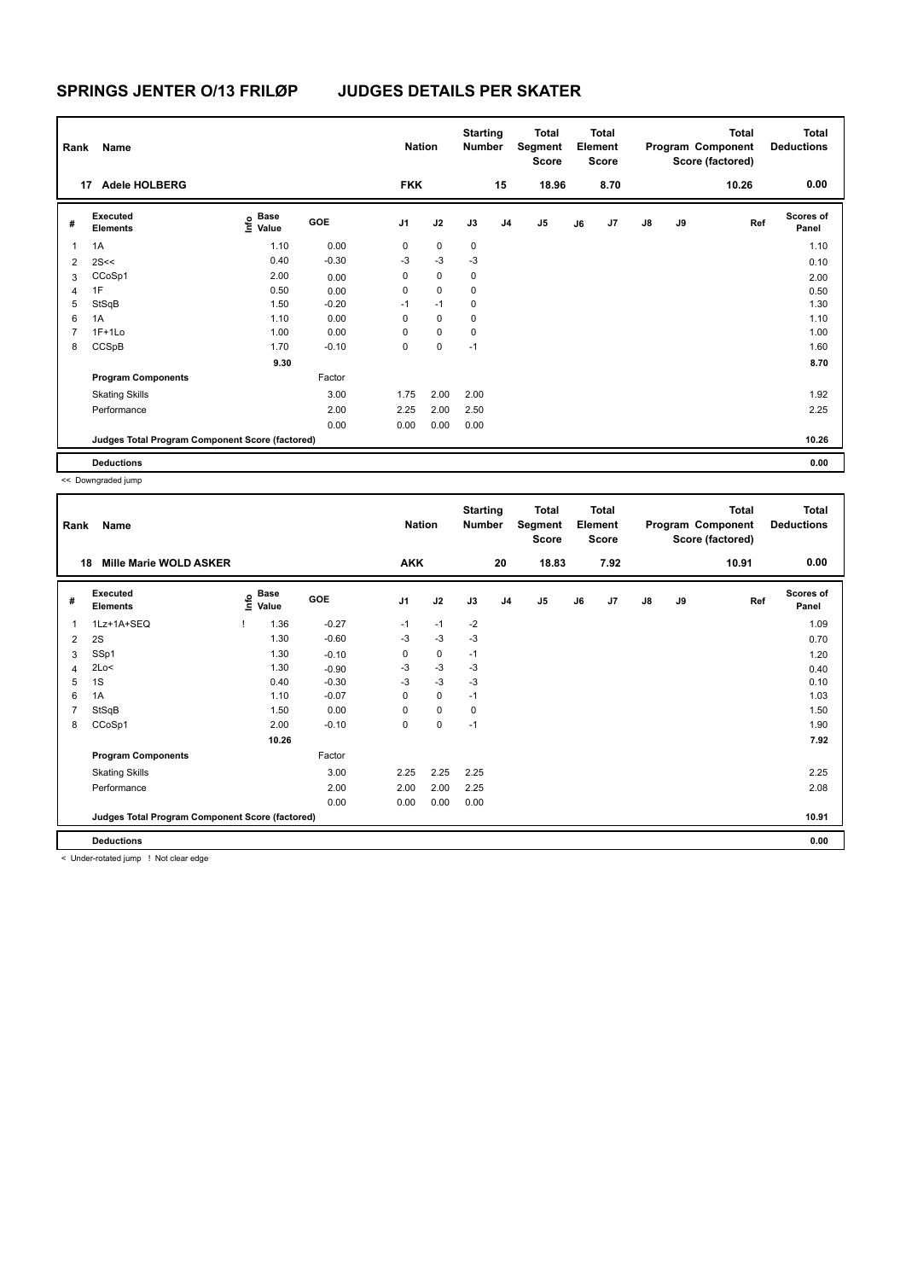| Rank           | Name<br><b>Adele HOLBERG</b><br>17              |                           |         |                | <b>Nation</b> | <b>Starting</b><br><b>Number</b> |                | Total<br>Segment<br><b>Score</b> |    | <b>Total</b><br>Element<br><b>Score</b> |               |    | <b>Total</b><br>Program Component<br>Score (factored) | <b>Total</b><br><b>Deductions</b> |
|----------------|-------------------------------------------------|---------------------------|---------|----------------|---------------|----------------------------------|----------------|----------------------------------|----|-----------------------------------------|---------------|----|-------------------------------------------------------|-----------------------------------|
|                |                                                 |                           |         | <b>FKK</b>     |               |                                  | 15             | 18.96                            |    | 8.70                                    |               |    | 10.26                                                 | 0.00                              |
| #              | Executed<br><b>Elements</b>                     | Base<br>o Base<br>⊆ Value | GOE     | J <sub>1</sub> | J2            | J3                               | J <sub>4</sub> | J5                               | J6 | J7                                      | $\mathsf{J}8$ | J9 | Ref                                                   | <b>Scores of</b><br>Panel         |
| 1              | 1A                                              | 1.10                      | 0.00    | 0              | $\mathbf 0$   | 0                                |                |                                  |    |                                         |               |    |                                                       | 1.10                              |
| $\overline{2}$ | 2S<<                                            | 0.40                      | $-0.30$ | $-3$           | $-3$          | $-3$                             |                |                                  |    |                                         |               |    |                                                       | 0.10                              |
| 3              | CCoSp1                                          | 2.00                      | 0.00    | 0              | $\mathbf 0$   | 0                                |                |                                  |    |                                         |               |    |                                                       | 2.00                              |
| 4              | 1F                                              | 0.50                      | 0.00    | 0              | $\mathbf 0$   | 0                                |                |                                  |    |                                         |               |    |                                                       | 0.50                              |
| 5              | StSqB                                           | 1.50                      | $-0.20$ | $-1$           | $-1$          | $\mathbf 0$                      |                |                                  |    |                                         |               |    |                                                       | 1.30                              |
| 6              | 1A                                              | 1.10                      | 0.00    | 0              | $\mathbf 0$   | $\mathbf 0$                      |                |                                  |    |                                         |               |    |                                                       | 1.10                              |
| 7              | $1F+1Lo$                                        | 1.00                      | 0.00    | 0              | $\mathbf 0$   | 0                                |                |                                  |    |                                         |               |    |                                                       | 1.00                              |
| 8              | CCSpB                                           | 1.70                      | $-0.10$ | 0              | 0             | $-1$                             |                |                                  |    |                                         |               |    |                                                       | 1.60                              |
|                |                                                 | 9.30                      |         |                |               |                                  |                |                                  |    |                                         |               |    |                                                       | 8.70                              |
|                | <b>Program Components</b>                       |                           | Factor  |                |               |                                  |                |                                  |    |                                         |               |    |                                                       |                                   |
|                | <b>Skating Skills</b>                           |                           | 3.00    | 1.75           | 2.00          | 2.00                             |                |                                  |    |                                         |               |    |                                                       | 1.92                              |
|                | Performance                                     |                           | 2.00    | 2.25           | 2.00          | 2.50                             |                |                                  |    |                                         |               |    |                                                       | 2.25                              |
|                |                                                 |                           | 0.00    | 0.00           | 0.00          | 0.00                             |                |                                  |    |                                         |               |    |                                                       |                                   |
|                | Judges Total Program Component Score (factored) |                           |         |                |               |                                  |                |                                  |    |                                         |               |    |                                                       | 10.26                             |
|                | <b>Deductions</b>                               |                           |         |                |               |                                  |                |                                  |    |                                         |               |    |                                                       | 0.00                              |

<< Downgraded jump

| Rank | Name                                            |                   |         | <b>Nation</b>  |             | <b>Starting</b><br>Number |                | Total<br>Segment<br>Score |    | <b>Total</b><br>Element<br><b>Score</b> |               |    | <b>Total</b><br>Program Component<br>Score (factored) | <b>Total</b><br><b>Deductions</b> |
|------|-------------------------------------------------|-------------------|---------|----------------|-------------|---------------------------|----------------|---------------------------|----|-----------------------------------------|---------------|----|-------------------------------------------------------|-----------------------------------|
| 18   | <b>Mille Marie WOLD ASKER</b>                   |                   |         | <b>AKK</b>     |             |                           | 20             | 18.83                     |    | 7.92                                    |               |    | 10.91                                                 | 0.00                              |
| #    | Executed<br><b>Elements</b>                     | e Base<br>E Value | GOE     | J <sub>1</sub> | J2          | J3                        | J <sub>4</sub> | $\mathsf{J}5$             | J6 | J7                                      | $\mathsf{J}8$ | J9 | Ref                                                   | <b>Scores of</b><br>Panel         |
| 1    | 1Lz+1A+SEQ                                      | 1.36              | $-0.27$ | $-1$           | $-1$        | $-2$                      |                |                           |    |                                         |               |    |                                                       | 1.09                              |
| 2    | 2S                                              | 1.30              | $-0.60$ | $-3$           | $-3$        | $-3$                      |                |                           |    |                                         |               |    |                                                       | 0.70                              |
| 3    | SSp1                                            | 1.30              | $-0.10$ | 0              | 0           | $-1$                      |                |                           |    |                                         |               |    |                                                       | 1.20                              |
| 4    | 2Lo<                                            | 1.30              | $-0.90$ | $-3$           | $-3$        | -3                        |                |                           |    |                                         |               |    |                                                       | 0.40                              |
| 5    | 1S                                              | 0.40              | $-0.30$ | $-3$           | $-3$        | $-3$                      |                |                           |    |                                         |               |    |                                                       | 0.10                              |
| 6    | 1A                                              | 1.10              | $-0.07$ | 0              | $\mathbf 0$ | $-1$                      |                |                           |    |                                         |               |    |                                                       | 1.03                              |
| 7    | StSqB                                           | 1.50              | 0.00    | $\Omega$       | 0           | 0                         |                |                           |    |                                         |               |    |                                                       | 1.50                              |
| 8    | CCoSp1                                          | 2.00              | $-0.10$ | 0              | 0           | $-1$                      |                |                           |    |                                         |               |    |                                                       | 1.90                              |
|      |                                                 | 10.26             |         |                |             |                           |                |                           |    |                                         |               |    |                                                       | 7.92                              |
|      | <b>Program Components</b>                       |                   | Factor  |                |             |                           |                |                           |    |                                         |               |    |                                                       |                                   |
|      | <b>Skating Skills</b>                           |                   | 3.00    | 2.25           | 2.25        | 2.25                      |                |                           |    |                                         |               |    |                                                       | 2.25                              |
|      | Performance                                     |                   | 2.00    | 2.00           | 2.00        | 2.25                      |                |                           |    |                                         |               |    |                                                       | 2.08                              |
|      |                                                 |                   | 0.00    | 0.00           | 0.00        | 0.00                      |                |                           |    |                                         |               |    |                                                       |                                   |
|      | Judges Total Program Component Score (factored) |                   |         |                |             |                           |                |                           |    |                                         |               |    |                                                       | 10.91                             |
|      | <b>Deductions</b>                               |                   |         |                |             |                           |                |                           |    |                                         |               |    |                                                       | 0.00                              |
|      |                                                 |                   |         |                |             |                           |                |                           |    |                                         |               |    |                                                       |                                   |

< Under-rotated jump ! Not clear edge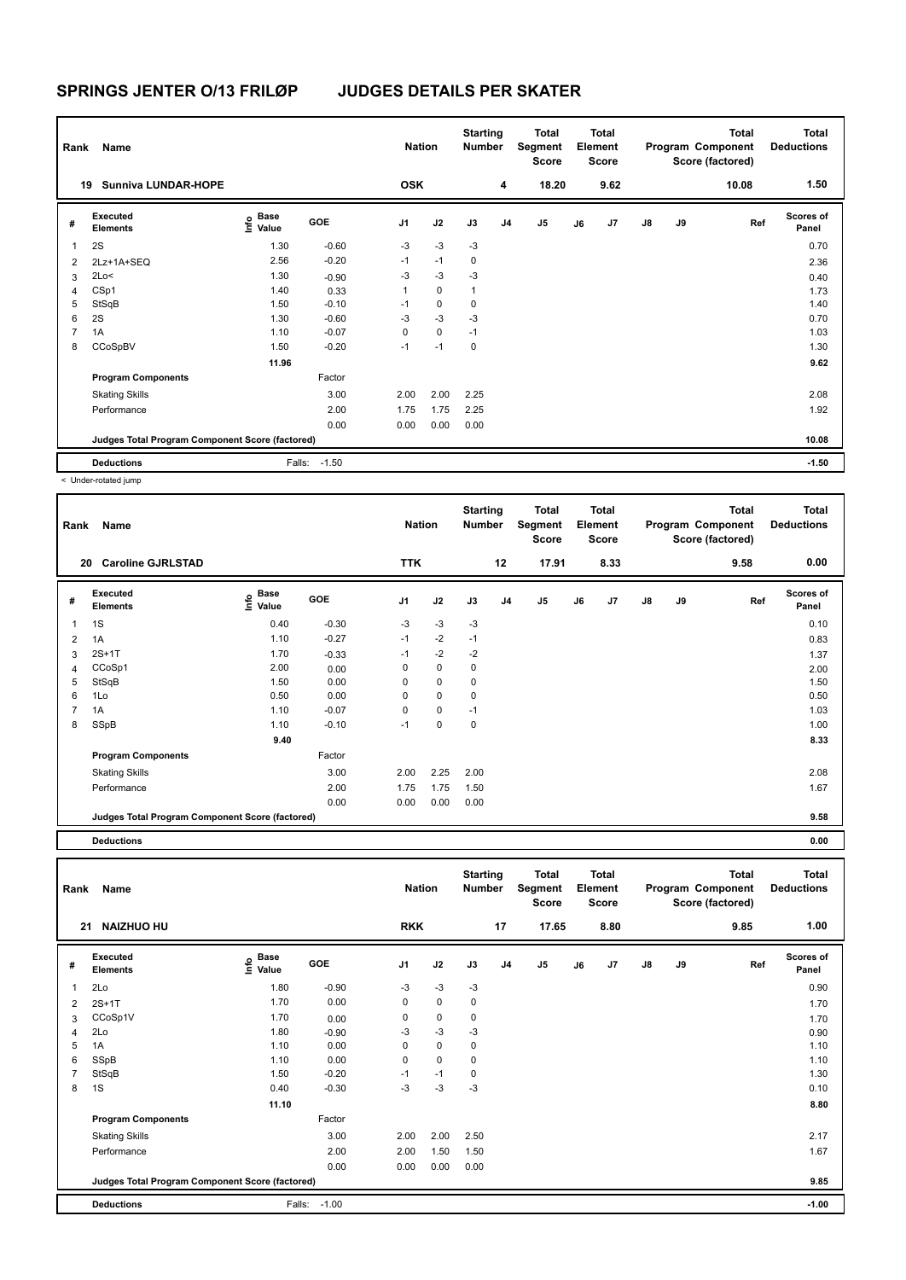| Rank                    | Name                                            |                           |            | <b>Nation</b>  |             | <b>Starting</b><br><b>Number</b> |    | Total<br>Segment<br>Score |    | <b>Total</b><br>Element<br><b>Score</b> |    |    | <b>Total</b><br>Program Component<br>Score (factored) | <b>Total</b><br><b>Deductions</b> |
|-------------------------|-------------------------------------------------|---------------------------|------------|----------------|-------------|----------------------------------|----|---------------------------|----|-----------------------------------------|----|----|-------------------------------------------------------|-----------------------------------|
| 19                      | <b>Sunniva LUNDAR-HOPE</b>                      |                           |            | <b>OSK</b>     |             |                                  | 4  | 18.20                     |    | 9.62                                    |    |    | 10.08                                                 | 1.50                              |
| #                       | Executed<br><b>Elements</b>                     | Base<br>e Base<br>⊆ Value | <b>GOE</b> | J <sub>1</sub> | J2          | J3                               | J4 | J <sub>5</sub>            | J6 | J <sub>7</sub>                          | J8 | J9 | Ref                                                   | <b>Scores of</b><br>Panel         |
| $\overline{\mathbf{1}}$ | 2S                                              | 1.30                      | $-0.60$    | $-3$           | $-3$        | $-3$                             |    |                           |    |                                         |    |    |                                                       | 0.70                              |
| $\overline{2}$          | 2Lz+1A+SEQ                                      | 2.56                      | $-0.20$    | $-1$           | $-1$        | 0                                |    |                           |    |                                         |    |    |                                                       | 2.36                              |
| 3                       | 2Lo<                                            | 1.30                      | $-0.90$    | $-3$           | $-3$        | $-3$                             |    |                           |    |                                         |    |    |                                                       | 0.40                              |
| $\overline{4}$          | CSp1                                            | 1.40                      | 0.33       | 1              | 0           | $\mathbf{1}$                     |    |                           |    |                                         |    |    |                                                       | 1.73                              |
| 5                       | StSqB                                           | 1.50                      | $-0.10$    | $-1$           | $\pmb{0}$   | 0                                |    |                           |    |                                         |    |    |                                                       | 1.40                              |
| 6                       | 2S                                              | 1.30                      | $-0.60$    | $-3$           | $-3$        | $-3$                             |    |                           |    |                                         |    |    |                                                       | 0.70                              |
| $\overline{7}$          | 1A                                              | 1.10                      | $-0.07$    | 0              | $\mathbf 0$ | $-1$                             |    |                           |    |                                         |    |    |                                                       | 1.03                              |
| 8                       | CCoSpBV                                         | 1.50                      | $-0.20$    | $-1$           | $-1$        | 0                                |    |                           |    |                                         |    |    |                                                       | 1.30                              |
|                         |                                                 | 11.96                     |            |                |             |                                  |    |                           |    |                                         |    |    |                                                       | 9.62                              |
|                         | <b>Program Components</b>                       |                           | Factor     |                |             |                                  |    |                           |    |                                         |    |    |                                                       |                                   |
|                         | <b>Skating Skills</b>                           |                           | 3.00       | 2.00           | 2.00        | 2.25                             |    |                           |    |                                         |    |    |                                                       | 2.08                              |
|                         | Performance                                     |                           | 2.00       | 1.75           | 1.75        | 2.25                             |    |                           |    |                                         |    |    |                                                       | 1.92                              |
|                         |                                                 |                           | 0.00       | 0.00           | 0.00        | 0.00                             |    |                           |    |                                         |    |    |                                                       |                                   |
|                         | Judges Total Program Component Score (factored) |                           |            |                |             |                                  |    |                           |    |                                         |    |    |                                                       | 10.08                             |
|                         | <b>Deductions</b>                               | Falls:                    | $-1.50$    |                |             |                                  |    |                           |    |                                         |    |    |                                                       | $-1.50$                           |

< Under-rotated jump

| Rank | Name                                            |                       |         | <b>Nation</b>  |             | <b>Starting</b><br>Number |                | <b>Total</b><br>Segment<br><b>Score</b> |    | <b>Total</b><br>Element<br><b>Score</b> |               |    | <b>Total</b><br>Program Component<br>Score (factored) | <b>Total</b><br><b>Deductions</b> |
|------|-------------------------------------------------|-----------------------|---------|----------------|-------------|---------------------------|----------------|-----------------------------------------|----|-----------------------------------------|---------------|----|-------------------------------------------------------|-----------------------------------|
|      | <b>Caroline GJRLSTAD</b><br>20                  |                       |         | <b>TTK</b>     |             |                           | 12             | 17.91                                   |    | 8.33                                    |               |    | 9.58                                                  | 0.00                              |
| #    | Executed<br><b>Elements</b>                     | $\sum_{i=1}^{n}$ Base | GOE     | J <sub>1</sub> | J2          | J3                        | J <sub>4</sub> | J <sub>5</sub>                          | J6 | J7                                      | $\mathsf{J}8$ | J9 | Ref                                                   | <b>Scores of</b><br>Panel         |
| 1    | 1S                                              | 0.40                  | $-0.30$ | $-3$           | $-3$        | $-3$                      |                |                                         |    |                                         |               |    |                                                       | 0.10                              |
| 2    | 1A                                              | 1.10                  | $-0.27$ | $-1$           | $-2$        | $-1$                      |                |                                         |    |                                         |               |    |                                                       | 0.83                              |
| 3    | $2S+1T$                                         | 1.70                  | $-0.33$ | $-1$           | $-2$        | $-2$                      |                |                                         |    |                                         |               |    |                                                       | 1.37                              |
| 4    | CCoSp1                                          | 2.00                  | 0.00    | 0              | $\mathbf 0$ | 0                         |                |                                         |    |                                         |               |    |                                                       | 2.00                              |
| 5    | StSqB                                           | 1.50                  | 0.00    | $\Omega$       | 0           | 0                         |                |                                         |    |                                         |               |    |                                                       | 1.50                              |
| 6    | 1Lo                                             | 0.50                  | 0.00    | 0              | 0           | 0                         |                |                                         |    |                                         |               |    |                                                       | 0.50                              |
| 7    | 1A                                              | 1.10                  | $-0.07$ | 0              | 0           | $-1$                      |                |                                         |    |                                         |               |    |                                                       | 1.03                              |
| 8    | SSpB                                            | 1.10                  | $-0.10$ | $-1$           | 0           | 0                         |                |                                         |    |                                         |               |    |                                                       | 1.00                              |
|      |                                                 | 9.40                  |         |                |             |                           |                |                                         |    |                                         |               |    |                                                       | 8.33                              |
|      | <b>Program Components</b>                       |                       | Factor  |                |             |                           |                |                                         |    |                                         |               |    |                                                       |                                   |
|      | <b>Skating Skills</b>                           |                       | 3.00    | 2.00           | 2.25        | 2.00                      |                |                                         |    |                                         |               |    |                                                       | 2.08                              |
|      | Performance                                     |                       | 2.00    | 1.75           | 1.75        | 1.50                      |                |                                         |    |                                         |               |    |                                                       | 1.67                              |
|      |                                                 |                       | 0.00    | 0.00           | 0.00        | 0.00                      |                |                                         |    |                                         |               |    |                                                       |                                   |
|      | Judges Total Program Component Score (factored) |                       |         |                |             |                           |                |                                         |    |                                         |               |    |                                                       | 9.58                              |

**Deductions 0.00**

| Rank           | Name                                            |                                    |         | <b>Nation</b>  |             | <b>Starting</b><br><b>Number</b> |                | <b>Total</b><br><b>Segment</b><br><b>Score</b> |    | <b>Total</b><br>Element<br><b>Score</b> |    |    | <b>Total</b><br>Program Component<br>Score (factored) | <b>Total</b><br><b>Deductions</b> |
|----------------|-------------------------------------------------|------------------------------------|---------|----------------|-------------|----------------------------------|----------------|------------------------------------------------|----|-----------------------------------------|----|----|-------------------------------------------------------|-----------------------------------|
|                | <b>NAIZHUO HU</b><br>21                         |                                    |         | <b>RKK</b>     |             |                                  | 17             | 17.65                                          |    | 8.80                                    |    |    | 9.85                                                  | 1.00                              |
| #              | Executed<br><b>Elements</b>                     | <b>Base</b><br>$\frac{6}{5}$ Value | GOE     | J <sub>1</sub> | J2          | J3                               | J <sub>4</sub> | J <sub>5</sub>                                 | J6 | J7                                      | J8 | J9 | Ref                                                   | <b>Scores of</b><br>Panel         |
| 1              | 2Lo                                             | 1.80                               | $-0.90$ | $-3$           | $-3$        | $-3$                             |                |                                                |    |                                         |    |    |                                                       | 0.90                              |
| 2              | $2S+1T$                                         | 1.70                               | 0.00    | 0              | $\mathbf 0$ | 0                                |                |                                                |    |                                         |    |    |                                                       | 1.70                              |
| 3              | CCoSp1V                                         | 1.70                               | 0.00    | 0              | 0           | $\pmb{0}$                        |                |                                                |    |                                         |    |    |                                                       | 1.70                              |
| $\overline{4}$ | 2Lo                                             | 1.80                               | $-0.90$ | $-3$           | $-3$        | $-3$                             |                |                                                |    |                                         |    |    |                                                       | 0.90                              |
| 5              | 1A                                              | 1.10                               | 0.00    | 0              | 0           | 0                                |                |                                                |    |                                         |    |    |                                                       | 1.10                              |
| 6              | SSpB                                            | 1.10                               | 0.00    | 0              | $\mathbf 0$ | 0                                |                |                                                |    |                                         |    |    |                                                       | 1.10                              |
| 7              | StSqB                                           | 1.50                               | $-0.20$ | $-1$           | $-1$        | 0                                |                |                                                |    |                                         |    |    |                                                       | 1.30                              |
| 8              | 1S                                              | 0.40                               | $-0.30$ | $-3$           | $-3$        | $-3$                             |                |                                                |    |                                         |    |    |                                                       | 0.10                              |
|                |                                                 | 11.10                              |         |                |             |                                  |                |                                                |    |                                         |    |    |                                                       | 8.80                              |
|                | <b>Program Components</b>                       |                                    | Factor  |                |             |                                  |                |                                                |    |                                         |    |    |                                                       |                                   |
|                | <b>Skating Skills</b>                           |                                    | 3.00    | 2.00           | 2.00        | 2.50                             |                |                                                |    |                                         |    |    |                                                       | 2.17                              |
|                | Performance                                     |                                    | 2.00    | 2.00           | 1.50        | 1.50                             |                |                                                |    |                                         |    |    |                                                       | 1.67                              |
|                |                                                 |                                    | 0.00    | 0.00           | 0.00        | 0.00                             |                |                                                |    |                                         |    |    |                                                       |                                   |
|                | Judges Total Program Component Score (factored) |                                    |         |                |             |                                  |                |                                                |    |                                         |    |    |                                                       | 9.85                              |
|                | <b>Deductions</b>                               | Falls:                             | $-1.00$ |                |             |                                  |                |                                                |    |                                         |    |    |                                                       | $-1.00$                           |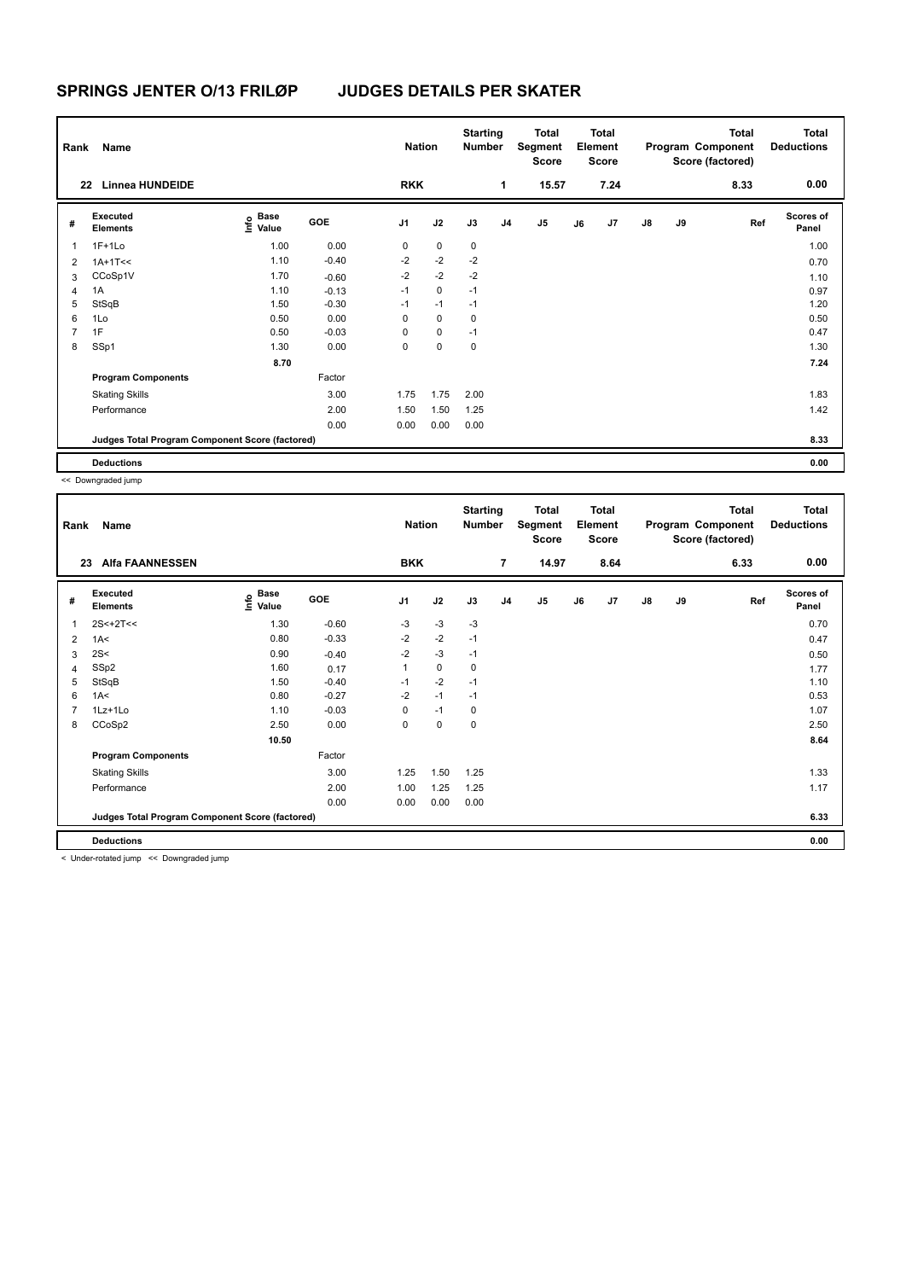| Rank           | Name                                            |                                  |         | <b>Nation</b>  |             | <b>Starting</b><br><b>Number</b> |                | Total<br>Segment<br><b>Score</b> |    | <b>Total</b><br>Element<br><b>Score</b> |               |    | Total<br>Program Component<br>Score (factored) | <b>Total</b><br><b>Deductions</b> |
|----------------|-------------------------------------------------|----------------------------------|---------|----------------|-------------|----------------------------------|----------------|----------------------------------|----|-----------------------------------------|---------------|----|------------------------------------------------|-----------------------------------|
| 22             | <b>Linnea HUNDEIDE</b>                          |                                  |         | <b>RKK</b>     |             |                                  | 1              | 15.57                            |    | 7.24                                    |               |    | 8.33                                           | 0.00                              |
| #              | Executed<br><b>Elements</b>                     | <b>Base</b><br>o Base<br>⊆ Value | GOE     | J <sub>1</sub> | J2          | J3                               | J <sub>4</sub> | J <sub>5</sub>                   | J6 | J7                                      | $\mathsf{J}8$ | J9 | Ref                                            | <b>Scores of</b><br>Panel         |
| $\mathbf{1}$   | $1F+1Lo$                                        | 1.00                             | 0.00    | 0              | $\mathbf 0$ | $\mathbf 0$                      |                |                                  |    |                                         |               |    |                                                | 1.00                              |
| $\overline{2}$ | $1A+1T<<$                                       | 1.10                             | $-0.40$ | $-2$           | $-2$        | $-2$                             |                |                                  |    |                                         |               |    |                                                | 0.70                              |
| 3              | CCoSp1V                                         | 1.70                             | $-0.60$ | $-2$           | $-2$        | $-2$                             |                |                                  |    |                                         |               |    |                                                | 1.10                              |
| 4              | 1A                                              | 1.10                             | $-0.13$ | $-1$           | $\mathbf 0$ | $-1$                             |                |                                  |    |                                         |               |    |                                                | 0.97                              |
| 5              | StSqB                                           | 1.50                             | $-0.30$ | $-1$           | $-1$        | $-1$                             |                |                                  |    |                                         |               |    |                                                | 1.20                              |
| 6              | 1Lo                                             | 0.50                             | 0.00    | 0              | $\mathbf 0$ | 0                                |                |                                  |    |                                         |               |    |                                                | 0.50                              |
| $\overline{7}$ | 1F                                              | 0.50                             | $-0.03$ | 0              | $\mathbf 0$ | $-1$                             |                |                                  |    |                                         |               |    |                                                | 0.47                              |
| 8              | SSp1                                            | 1.30                             | 0.00    | 0              | $\mathbf 0$ | 0                                |                |                                  |    |                                         |               |    |                                                | 1.30                              |
|                |                                                 | 8.70                             |         |                |             |                                  |                |                                  |    |                                         |               |    |                                                | 7.24                              |
|                | <b>Program Components</b>                       |                                  | Factor  |                |             |                                  |                |                                  |    |                                         |               |    |                                                |                                   |
|                | <b>Skating Skills</b>                           |                                  | 3.00    | 1.75           | 1.75        | 2.00                             |                |                                  |    |                                         |               |    |                                                | 1.83                              |
|                | Performance                                     |                                  | 2.00    | 1.50           | 1.50        | 1.25                             |                |                                  |    |                                         |               |    |                                                | 1.42                              |
|                |                                                 |                                  | 0.00    | 0.00           | 0.00        | 0.00                             |                |                                  |    |                                         |               |    |                                                |                                   |
|                | Judges Total Program Component Score (factored) |                                  |         |                |             |                                  |                |                                  |    |                                         |               |    |                                                | 8.33                              |
|                | <b>Deductions</b>                               |                                  |         |                |             |                                  |                |                                  |    |                                         |               |    |                                                | 0.00                              |

<< Downgraded jump

| Rank | Name<br><b>Alfa FAANNESSEN</b><br>23            |                   |         | <b>Nation</b>  |      | <b>Starting</b><br>Number |                | <b>Total</b><br>Segment<br>Score |    | <b>Total</b><br>Element<br><b>Score</b> |               |    | <b>Total</b><br>Program Component<br>Score (factored) | <b>Total</b><br><b>Deductions</b> |
|------|-------------------------------------------------|-------------------|---------|----------------|------|---------------------------|----------------|----------------------------------|----|-----------------------------------------|---------------|----|-------------------------------------------------------|-----------------------------------|
|      |                                                 |                   |         | <b>BKK</b>     |      |                           | $\overline{7}$ | 14.97                            |    | 8.64                                    |               |    | 6.33                                                  | 0.00                              |
| #    | <b>Executed</b><br><b>Elements</b>              | e Base<br>E Value | GOE     | J <sub>1</sub> | J2   | J3                        | J <sub>4</sub> | J5                               | J6 | J7                                      | $\mathsf{J}8$ | J9 | Ref                                                   | <b>Scores of</b><br>Panel         |
| 1    | $2S < +2T <$                                    | 1.30              | $-0.60$ | $-3$           | $-3$ | $-3$                      |                |                                  |    |                                         |               |    |                                                       | 0.70                              |
| 2    | 1A<                                             | 0.80              | $-0.33$ | $-2$           | $-2$ | $-1$                      |                |                                  |    |                                         |               |    |                                                       | 0.47                              |
| 3    | 2S<                                             | 0.90              | $-0.40$ | $-2$           | $-3$ | $-1$                      |                |                                  |    |                                         |               |    |                                                       | 0.50                              |
| 4    | SSp2                                            | 1.60              | 0.17    | 1              | 0    | 0                         |                |                                  |    |                                         |               |    |                                                       | 1.77                              |
| 5    | StSqB                                           | 1.50              | $-0.40$ | $-1$           | $-2$ | $-1$                      |                |                                  |    |                                         |               |    |                                                       | 1.10                              |
| 6    | 1A<                                             | 0.80              | $-0.27$ | $-2$           | $-1$ | $-1$                      |                |                                  |    |                                         |               |    |                                                       | 0.53                              |
| 7    | $1Lz+1Lo$                                       | 1.10              | $-0.03$ | 0              | $-1$ | 0                         |                |                                  |    |                                         |               |    |                                                       | 1.07                              |
| 8    | CCoSp2                                          | 2.50              | 0.00    | 0              | 0    | 0                         |                |                                  |    |                                         |               |    |                                                       | 2.50                              |
|      |                                                 | 10.50             |         |                |      |                           |                |                                  |    |                                         |               |    |                                                       | 8.64                              |
|      | <b>Program Components</b>                       |                   | Factor  |                |      |                           |                |                                  |    |                                         |               |    |                                                       |                                   |
|      | <b>Skating Skills</b>                           |                   | 3.00    | 1.25           | 1.50 | 1.25                      |                |                                  |    |                                         |               |    |                                                       | 1.33                              |
|      | Performance                                     |                   | 2.00    | 1.00           | 1.25 | 1.25                      |                |                                  |    |                                         |               |    |                                                       | 1.17                              |
|      |                                                 |                   | 0.00    | 0.00           | 0.00 | 0.00                      |                |                                  |    |                                         |               |    |                                                       |                                   |
|      | Judges Total Program Component Score (factored) |                   |         |                |      |                           |                |                                  |    |                                         |               |    |                                                       | 6.33                              |
|      | <b>Deductions</b>                               |                   |         |                |      |                           |                |                                  |    |                                         |               |    |                                                       | 0.00                              |

< Under-rotated jump << Downgraded jump